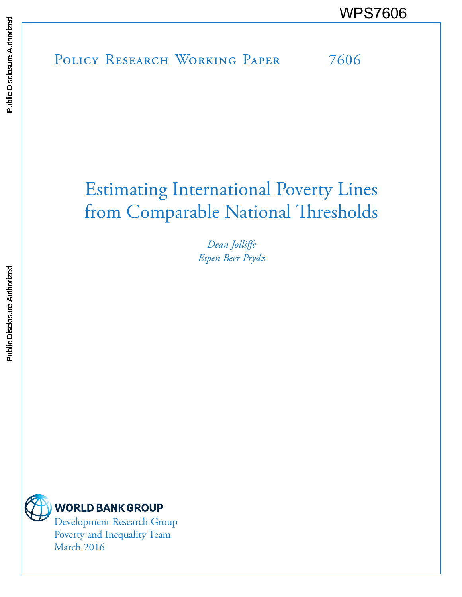POLICY RESEARCH WORKING PAPER 7606 WPS7606

# Estimating International Poverty Lines from Comparable National Thresholds

*Dean Jolliffe Espen Beer Prydz*



**WORLD BANK GROUP** 

Development Research Group Poverty and Inequality Team March 2016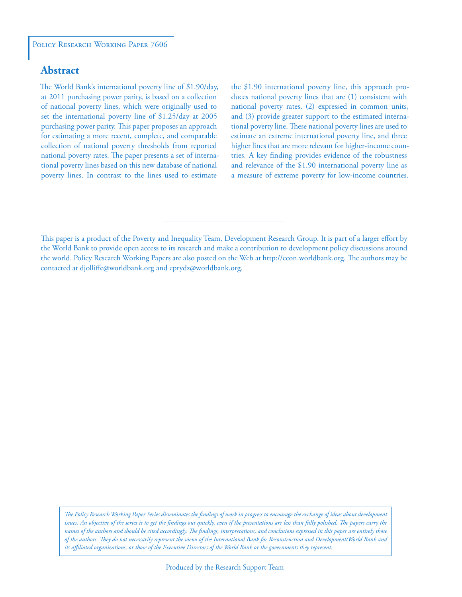## **Abstract**

The World Bank's international poverty line of \$1.90/day, at 2011 purchasing power parity, is based on a collection of national poverty lines, which were originally used to set the international poverty line of \$1.25/day at 2005 purchasing power parity. This paper proposes an approach for estimating a more recent, complete, and comparable collection of national poverty thresholds from reported national poverty rates. The paper presents a set of international poverty lines based on this new database of national poverty lines. In contrast to the lines used to estimate

the \$1.90 international poverty line, this approach produces national poverty lines that are (1) consistent with national poverty rates, (2) expressed in common units, and (3) provide greater support to the estimated international poverty line. These national poverty lines are used to estimate an extreme international poverty line, and three higher lines that are more relevant for higher-income countries. A key finding provides evidence of the robustness and relevance of the \$1.90 international poverty line as a measure of extreme poverty for low-income countries.

*The Policy Research Working Paper Series disseminates the findings of work in progress to encourage the exchange of ideas about development*  issues. An objective of the series is to get the findings out quickly, even if the presentations are less than fully polished. The papers carry the *names of the authors and should be cited accordingly. The findings, interpretations, and conclusions expressed in this paper are entirely those of the authors. They do not necessarily represent the views of the International Bank for Reconstruction and Development/World Bank and its affiliated organizations, or those of the Executive Directors of the World Bank or the governments they represent.*

This paper is a product of the Poverty and Inequality Team, Development Research Group. It is part of a larger effort by the World Bank to provide open access to its research and make a contribution to development policy discussions around the world. Policy Research Working Papers are also posted on the Web at http://econ.worldbank.org. The authors may be contacted at djolliffe@worldbank.org and eprydz@worldbank.org.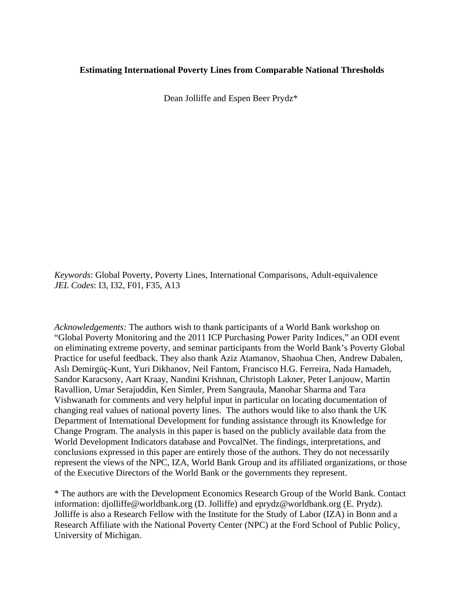## **Estimating International Poverty Lines from Comparable National Thresholds**

Dean Jolliffe and Espen Beer Prydz\*

*Keywords*: Global Poverty, Poverty Lines, International Comparisons, Adult-equivalence *JEL Codes*: I3, I32, F01, F35, A13

*Acknowledgements:* The authors wish to thank participants of a World Bank workshop on "Global Poverty Monitoring and the 2011 ICP Purchasing Power Parity Indices," an ODI event on eliminating extreme poverty, and seminar participants from the World Bank's Poverty Global Practice for useful feedback. They also thank Aziz Atamanov, Shaohua Chen, Andrew Dabalen, Aslı Demirgüç-Kunt, Yuri Dikhanov, Neil Fantom, Francisco H.G. Ferreira, Nada Hamadeh, Sandor Karacsony, Aart Kraay, Nandini Krishnan, Christoph Lakner, Peter Lanjouw, Martin Ravallion, Umar Serajuddin, Ken Simler, Prem Sangraula, Manohar Sharma and Tara Vishwanath for comments and very helpful input in particular on locating documentation of changing real values of national poverty lines. The authors would like to also thank the UK Department of International Development for funding assistance through its Knowledge for Change Program. The analysis in this paper is based on the publicly available data from the World Development Indicators database and PovcalNet. The findings, interpretations, and conclusions expressed in this paper are entirely those of the authors. They do not necessarily represent the views of the NPC, IZA, World Bank Group and its affiliated organizations, or those of the Executive Directors of the World Bank or the governments they represent.

\* The authors are with the Development Economics Research Group of the World Bank. Contact information: djolliffe@worldbank.org (D. Jolliffe) and eprydz@worldbank.org (E. Prydz). Jolliffe is also a Research Fellow with the Institute for the Study of Labor (IZA) in Bonn and a Research Affiliate with the National Poverty Center (NPC) at the Ford School of Public Policy, University of Michigan.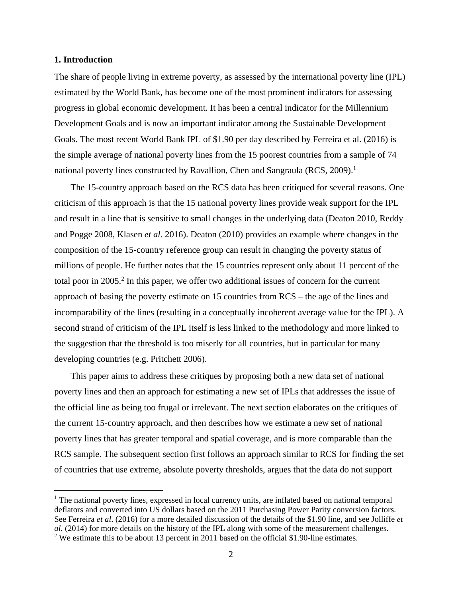#### **1. Introduction**

The share of people living in extreme poverty, as assessed by the international poverty line (IPL) estimated by the World Bank, has become one of the most prominent indicators for assessing progress in global economic development. It has been a central indicator for the Millennium Development Goals and is now an important indicator among the Sustainable Development Goals. The most recent World Bank IPL of \$1.90 per day described by Ferreira et al. (2016) is the simple average of national poverty lines from the 15 poorest countries from a sample of 74 national poverty lines constructed by Ravallion, Chen and Sangraula (RCS, 2009).<sup>1</sup>

The 15-country approach based on the RCS data has been critiqued for several reasons. One criticism of this approach is that the 15 national poverty lines provide weak support for the IPL and result in a line that is sensitive to small changes in the underlying data (Deaton 2010, Reddy and Pogge 2008, Klasen *et al.* 2016). Deaton (2010) provides an example where changes in the composition of the 15-country reference group can result in changing the poverty status of millions of people. He further notes that the 15 countries represent only about 11 percent of the total poor in 2005.<sup>2</sup> In this paper, we offer two additional issues of concern for the current approach of basing the poverty estimate on 15 countries from RCS – the age of the lines and incomparability of the lines (resulting in a conceptually incoherent average value for the IPL). A second strand of criticism of the IPL itself is less linked to the methodology and more linked to the suggestion that the threshold is too miserly for all countries, but in particular for many developing countries (e.g. Pritchett 2006).

This paper aims to address these critiques by proposing both a new data set of national poverty lines and then an approach for estimating a new set of IPLs that addresses the issue of the official line as being too frugal or irrelevant. The next section elaborates on the critiques of the current 15-country approach, and then describes how we estimate a new set of national poverty lines that has greater temporal and spatial coverage, and is more comparable than the RCS sample. The subsequent section first follows an approach similar to RCS for finding the set of countries that use extreme, absolute poverty thresholds, argues that the data do not support

<sup>&</sup>lt;sup>1</sup> The national poverty lines, expressed in local currency units, are inflated based on national temporal deflators and converted into US dollars based on the 2011 Purchasing Power Parity conversion factors. See Ferreira *et al*. (2016) for a more detailed discussion of the details of the \$1.90 line, and see Jolliffe *et al.* (2014) for more details on the history of the IPL along with some of the measurement challenges. <sup>2</sup> We estimate this to be about 13 percent in 2011 based on the official \$1.90-line estimates.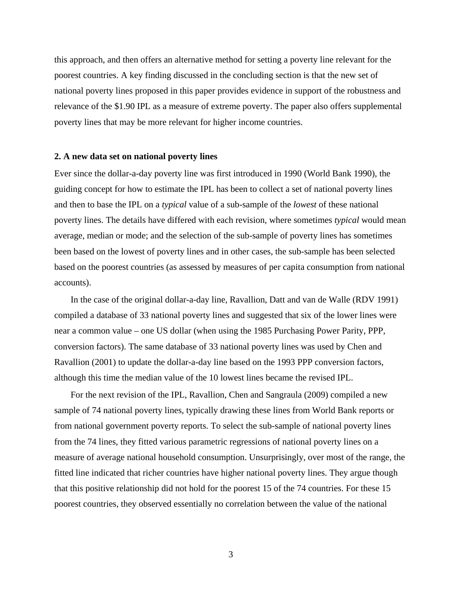this approach, and then offers an alternative method for setting a poverty line relevant for the poorest countries. A key finding discussed in the concluding section is that the new set of national poverty lines proposed in this paper provides evidence in support of the robustness and relevance of the \$1.90 IPL as a measure of extreme poverty. The paper also offers supplemental poverty lines that may be more relevant for higher income countries.

#### **2. A new data set on national poverty lines**

Ever since the dollar-a-day poverty line was first introduced in 1990 (World Bank 1990), the guiding concept for how to estimate the IPL has been to collect a set of national poverty lines and then to base the IPL on a *typical* value of a sub-sample of the *lowest* of these national poverty lines. The details have differed with each revision, where sometimes *typical* would mean average, median or mode; and the selection of the sub-sample of poverty lines has sometimes been based on the lowest of poverty lines and in other cases, the sub-sample has been selected based on the poorest countries (as assessed by measures of per capita consumption from national accounts).

In the case of the original dollar-a-day line, Ravallion, Datt and van de Walle (RDV 1991) compiled a database of 33 national poverty lines and suggested that six of the lower lines were near a common value – one US dollar (when using the 1985 Purchasing Power Parity, PPP, conversion factors). The same database of 33 national poverty lines was used by Chen and Ravallion (2001) to update the dollar-a-day line based on the 1993 PPP conversion factors, although this time the median value of the 10 lowest lines became the revised IPL.

For the next revision of the IPL, Ravallion, Chen and Sangraula (2009) compiled a new sample of 74 national poverty lines, typically drawing these lines from World Bank reports or from national government poverty reports. To select the sub-sample of national poverty lines from the 74 lines, they fitted various parametric regressions of national poverty lines on a measure of average national household consumption. Unsurprisingly, over most of the range, the fitted line indicated that richer countries have higher national poverty lines. They argue though that this positive relationship did not hold for the poorest 15 of the 74 countries. For these 15 poorest countries, they observed essentially no correlation between the value of the national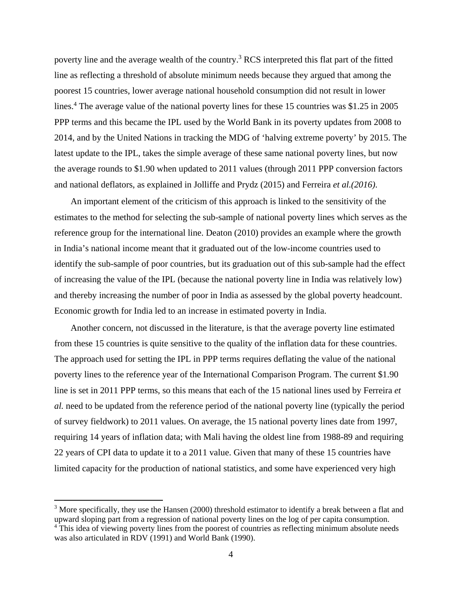poverty line and the average wealth of the country.<sup>3</sup> RCS interpreted this flat part of the fitted line as reflecting a threshold of absolute minimum needs because they argued that among the poorest 15 countries, lower average national household consumption did not result in lower lines.<sup>4</sup> The average value of the national poverty lines for these 15 countries was \$1.25 in 2005 PPP terms and this became the IPL used by the World Bank in its poverty updates from 2008 to 2014, and by the United Nations in tracking the MDG of 'halving extreme poverty' by 2015. The latest update to the IPL, takes the simple average of these same national poverty lines, but now the average rounds to \$1.90 when updated to 2011 values (through 2011 PPP conversion factors and national deflators, as explained in Jolliffe and Prydz (2015) and Ferreira *et al.(2016)*.

An important element of the criticism of this approach is linked to the sensitivity of the estimates to the method for selecting the sub-sample of national poverty lines which serves as the reference group for the international line. Deaton (2010) provides an example where the growth in India's national income meant that it graduated out of the low-income countries used to identify the sub-sample of poor countries, but its graduation out of this sub-sample had the effect of increasing the value of the IPL (because the national poverty line in India was relatively low) and thereby increasing the number of poor in India as assessed by the global poverty headcount. Economic growth for India led to an increase in estimated poverty in India.

Another concern, not discussed in the literature, is that the average poverty line estimated from these 15 countries is quite sensitive to the quality of the inflation data for these countries. The approach used for setting the IPL in PPP terms requires deflating the value of the national poverty lines to the reference year of the International Comparison Program. The current \$1.90 line is set in 2011 PPP terms, so this means that each of the 15 national lines used by Ferreira *et al.* need to be updated from the reference period of the national poverty line (typically the period of survey fieldwork) to 2011 values. On average, the 15 national poverty lines date from 1997, requiring 14 years of inflation data; with Mali having the oldest line from 1988-89 and requiring 22 years of CPI data to update it to a 2011 value. Given that many of these 15 countries have limited capacity for the production of national statistics, and some have experienced very high

 $3$  More specifically, they use the Hansen (2000) threshold estimator to identify a break between a flat and upward sloping part from a regression of national poverty lines on the log of per capita consumption.

<sup>&</sup>lt;sup>4</sup> This idea of viewing poverty lines from the poorest of countries as reflecting minimum absolute needs was also articulated in RDV (1991) and World Bank (1990).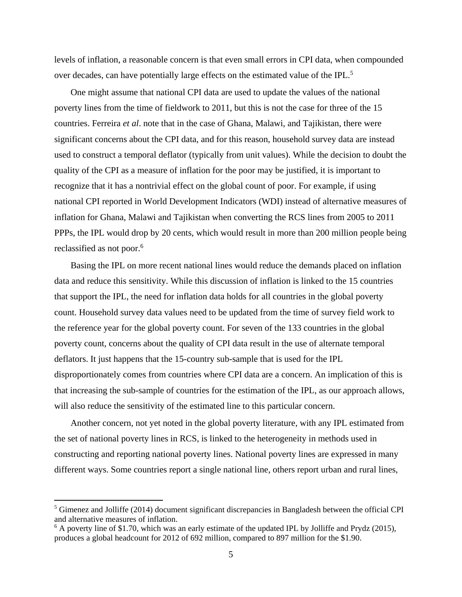levels of inflation, a reasonable concern is that even small errors in CPI data, when compounded over decades, can have potentially large effects on the estimated value of the IPL.<sup>5</sup>

One might assume that national CPI data are used to update the values of the national poverty lines from the time of fieldwork to 2011, but this is not the case for three of the 15 countries. Ferreira *et al*. note that in the case of Ghana, Malawi, and Tajikistan, there were significant concerns about the CPI data, and for this reason, household survey data are instead used to construct a temporal deflator (typically from unit values). While the decision to doubt the quality of the CPI as a measure of inflation for the poor may be justified, it is important to recognize that it has a nontrivial effect on the global count of poor. For example, if using national CPI reported in World Development Indicators (WDI) instead of alternative measures of inflation for Ghana, Malawi and Tajikistan when converting the RCS lines from 2005 to 2011 PPPs, the IPL would drop by 20 cents, which would result in more than 200 million people being reclassified as not poor.<sup>6</sup>

Basing the IPL on more recent national lines would reduce the demands placed on inflation data and reduce this sensitivity. While this discussion of inflation is linked to the 15 countries that support the IPL, the need for inflation data holds for all countries in the global poverty count. Household survey data values need to be updated from the time of survey field work to the reference year for the global poverty count. For seven of the 133 countries in the global poverty count, concerns about the quality of CPI data result in the use of alternate temporal deflators. It just happens that the 15-country sub-sample that is used for the IPL disproportionately comes from countries where CPI data are a concern. An implication of this is that increasing the sub-sample of countries for the estimation of the IPL, as our approach allows, will also reduce the sensitivity of the estimated line to this particular concern.

Another concern, not yet noted in the global poverty literature, with any IPL estimated from the set of national poverty lines in RCS, is linked to the heterogeneity in methods used in constructing and reporting national poverty lines. National poverty lines are expressed in many different ways. Some countries report a single national line, others report urban and rural lines,

<sup>&</sup>lt;sup>5</sup> Gimenez and Jolliffe (2014) document significant discrepancies in Bangladesh between the official CPI and alternative measures of inflation.

 $6$  A poverty line of \$1.70, which was an early estimate of the updated IPL by Jolliffe and Prydz (2015), produces a global headcount for 2012 of 692 million, compared to 897 million for the \$1.90.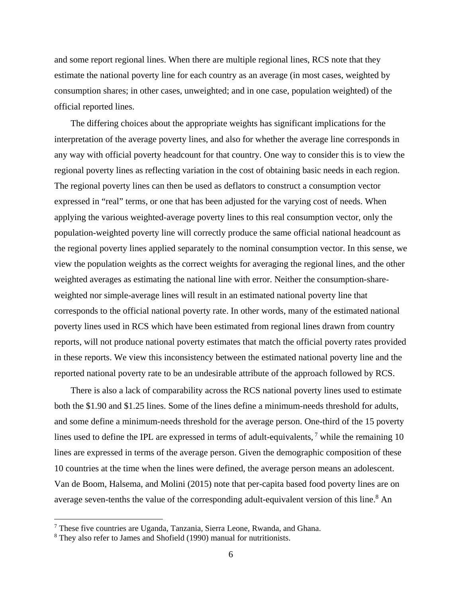and some report regional lines. When there are multiple regional lines, RCS note that they estimate the national poverty line for each country as an average (in most cases, weighted by consumption shares; in other cases, unweighted; and in one case, population weighted) of the official reported lines.

The differing choices about the appropriate weights has significant implications for the interpretation of the average poverty lines, and also for whether the average line corresponds in any way with official poverty headcount for that country. One way to consider this is to view the regional poverty lines as reflecting variation in the cost of obtaining basic needs in each region. The regional poverty lines can then be used as deflators to construct a consumption vector expressed in "real" terms, or one that has been adjusted for the varying cost of needs. When applying the various weighted-average poverty lines to this real consumption vector, only the population-weighted poverty line will correctly produce the same official national headcount as the regional poverty lines applied separately to the nominal consumption vector. In this sense, we view the population weights as the correct weights for averaging the regional lines, and the other weighted averages as estimating the national line with error. Neither the consumption-shareweighted nor simple-average lines will result in an estimated national poverty line that corresponds to the official national poverty rate. In other words, many of the estimated national poverty lines used in RCS which have been estimated from regional lines drawn from country reports, will not produce national poverty estimates that match the official poverty rates provided in these reports. We view this inconsistency between the estimated national poverty line and the reported national poverty rate to be an undesirable attribute of the approach followed by RCS.

There is also a lack of comparability across the RCS national poverty lines used to estimate both the \$1.90 and \$1.25 lines. Some of the lines define a minimum-needs threshold for adults, and some define a minimum-needs threshold for the average person. One-third of the 15 poverty lines used to define the IPL are expressed in terms of adult-equivalents,<sup>7</sup> while the remaining 10 lines are expressed in terms of the average person. Given the demographic composition of these 10 countries at the time when the lines were defined, the average person means an adolescent. Van de Boom, Halsema, and Molini (2015) note that per-capita based food poverty lines are on average seven-tenths the value of the corresponding adult-equivalent version of this line.<sup>8</sup> An

<sup>&</sup>lt;sup>7</sup> These five countries are Uganda, Tanzania, Sierra Leone, Rwanda, and Ghana.

<sup>&</sup>lt;sup>8</sup> They also refer to James and Shofield (1990) manual for nutritionists.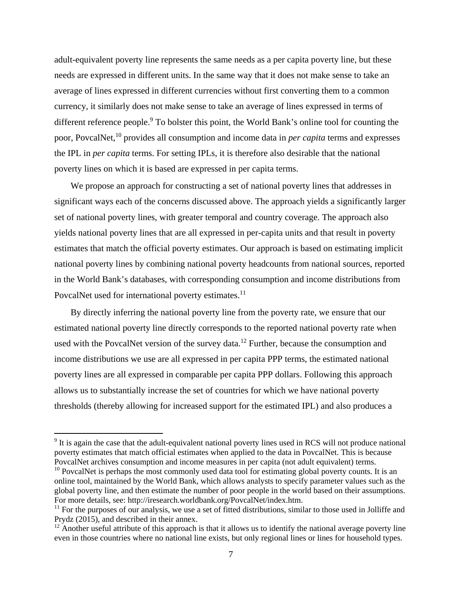adult-equivalent poverty line represents the same needs as a per capita poverty line, but these needs are expressed in different units. In the same way that it does not make sense to take an average of lines expressed in different currencies without first converting them to a common currency, it similarly does not make sense to take an average of lines expressed in terms of different reference people.<sup>9</sup> To bolster this point, the World Bank's online tool for counting the poor, PovcalNet,10 provides all consumption and income data in *per capita* terms and expresses the IPL in *per capita* terms. For setting IPLs, it is therefore also desirable that the national poverty lines on which it is based are expressed in per capita terms.

We propose an approach for constructing a set of national poverty lines that addresses in significant ways each of the concerns discussed above. The approach yields a significantly larger set of national poverty lines, with greater temporal and country coverage. The approach also yields national poverty lines that are all expressed in per-capita units and that result in poverty estimates that match the official poverty estimates. Our approach is based on estimating implicit national poverty lines by combining national poverty headcounts from national sources, reported in the World Bank's databases, with corresponding consumption and income distributions from PovcalNet used for international poverty estimates.<sup>11</sup>

By directly inferring the national poverty line from the poverty rate, we ensure that our estimated national poverty line directly corresponds to the reported national poverty rate when used with the PovcalNet version of the survey data.<sup>12</sup> Further, because the consumption and income distributions we use are all expressed in per capita PPP terms, the estimated national poverty lines are all expressed in comparable per capita PPP dollars. Following this approach allows us to substantially increase the set of countries for which we have national poverty thresholds (thereby allowing for increased support for the estimated IPL) and also produces a

<sup>&</sup>lt;sup>9</sup> It is again the case that the adult-equivalent national poverty lines used in RCS will not produce national poverty estimates that match official estimates when applied to the data in PovcalNet. This is because PovcalNet archives consumption and income measures in per capita (not adult equivalent) terms.

 $10$  PovcalNet is perhaps the most commonly used data tool for estimating global poverty counts. It is an online tool, maintained by the World Bank, which allows analysts to specify parameter values such as the global poverty line, and then estimate the number of poor people in the world based on their assumptions. For more details, see: http://iresearch.worldbank.org/PovcalNet/index.htm.

 $11$  For the purposes of our analysis, we use a set of fitted distributions, similar to those used in Jolliffe and Prydz (2015), and described in their annex.

 $12$  Another useful attribute of this approach is that it allows us to identify the national average poverty line even in those countries where no national line exists, but only regional lines or lines for household types.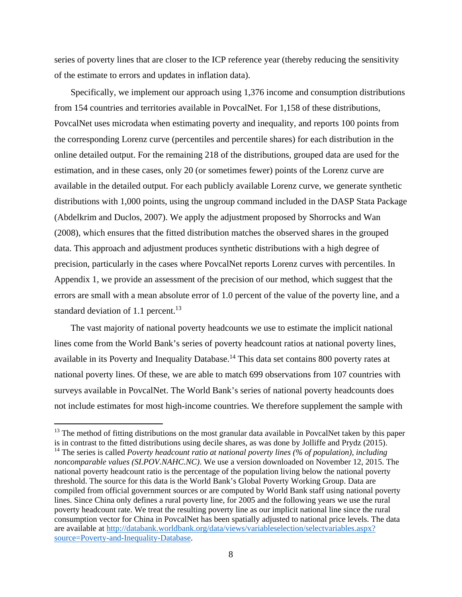series of poverty lines that are closer to the ICP reference year (thereby reducing the sensitivity of the estimate to errors and updates in inflation data).

Specifically, we implement our approach using 1,376 income and consumption distributions from 154 countries and territories available in PovcalNet. For 1,158 of these distributions, PovcalNet uses microdata when estimating poverty and inequality, and reports 100 points from the corresponding Lorenz curve (percentiles and percentile shares) for each distribution in the online detailed output. For the remaining 218 of the distributions, grouped data are used for the estimation, and in these cases, only 20 (or sometimes fewer) points of the Lorenz curve are available in the detailed output. For each publicly available Lorenz curve, we generate synthetic distributions with 1,000 points, using the ungroup command included in the DASP Stata Package (Abdelkrim and Duclos, 2007). We apply the adjustment proposed by Shorrocks and Wan (2008), which ensures that the fitted distribution matches the observed shares in the grouped data. This approach and adjustment produces synthetic distributions with a high degree of precision, particularly in the cases where PovcalNet reports Lorenz curves with percentiles. In Appendix 1, we provide an assessment of the precision of our method, which suggest that the errors are small with a mean absolute error of 1.0 percent of the value of the poverty line, and a standard deviation of 1.1 percent. $^{13}$ 

The vast majority of national poverty headcounts we use to estimate the implicit national lines come from the World Bank's series of poverty headcount ratios at national poverty lines, available in its Poverty and Inequality Database.<sup>14</sup> This data set contains 800 poverty rates at national poverty lines. Of these, we are able to match 699 observations from 107 countries with surveys available in PovcalNet. The World Bank's series of national poverty headcounts does not include estimates for most high-income countries. We therefore supplement the sample with

<sup>&</sup>lt;sup>13</sup> The method of fitting distributions on the most granular data available in PovcalNet taken by this paper is in contrast to the fitted distributions using decile shares, as was done by Jolliffe and Prydz (2015).

<sup>14</sup> The series is called *Poverty headcount ratio at national poverty lines (% of population), including noncomparable values (SI.POV.NAHC.NC)*. We use a version downloaded on November 12, 2015. The national poverty headcount ratio is the percentage of the population living below the national poverty threshold. The source for this data is the World Bank's Global Poverty Working Group. Data are compiled from official government sources or are computed by World Bank staff using national poverty lines. Since China only defines a rural poverty line, for 2005 and the following years we use the rural poverty headcount rate. We treat the resulting poverty line as our implicit national line since the rural consumption vector for China in PovcalNet has been spatially adjusted to national price levels. The data are available at http://databank.worldbank.org/data/views/variableselection/selectvariables.aspx? source=Poverty-and-Inequality-Database.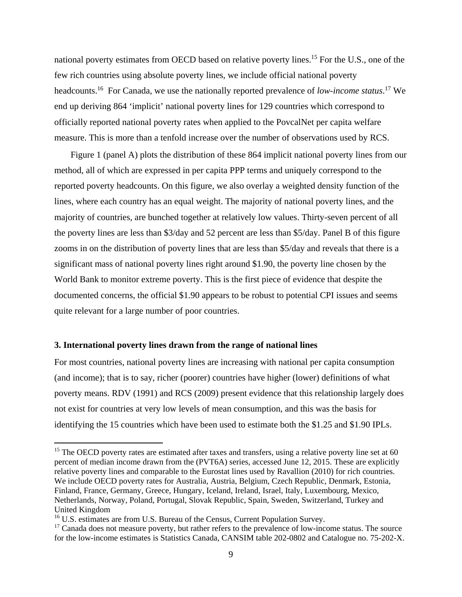national poverty estimates from OECD based on relative poverty lines.<sup>15</sup> For the U.S., one of the few rich countries using absolute poverty lines, we include official national poverty headcounts.16 For Canada, we use the nationally reported prevalence of *low-income status*. 17 We end up deriving 864 'implicit' national poverty lines for 129 countries which correspond to officially reported national poverty rates when applied to the PovcalNet per capita welfare measure. This is more than a tenfold increase over the number of observations used by RCS.

Figure 1 (panel A) plots the distribution of these 864 implicit national poverty lines from our method, all of which are expressed in per capita PPP terms and uniquely correspond to the reported poverty headcounts. On this figure, we also overlay a weighted density function of the lines, where each country has an equal weight. The majority of national poverty lines, and the majority of countries, are bunched together at relatively low values. Thirty-seven percent of all the poverty lines are less than \$3/day and 52 percent are less than \$5/day. Panel B of this figure zooms in on the distribution of poverty lines that are less than \$5/day and reveals that there is a significant mass of national poverty lines right around \$1.90, the poverty line chosen by the World Bank to monitor extreme poverty. This is the first piece of evidence that despite the documented concerns, the official \$1.90 appears to be robust to potential CPI issues and seems quite relevant for a large number of poor countries.

#### **3. International poverty lines drawn from the range of national lines**

For most countries, national poverty lines are increasing with national per capita consumption (and income); that is to say, richer (poorer) countries have higher (lower) definitions of what poverty means. RDV (1991) and RCS (2009) present evidence that this relationship largely does not exist for countries at very low levels of mean consumption, and this was the basis for identifying the 15 countries which have been used to estimate both the \$1.25 and \$1.90 IPLs.

<sup>&</sup>lt;sup>15</sup> The OECD poverty rates are estimated after taxes and transfers, using a relative poverty line set at 60 percent of median income drawn from the (PVT6A) series, accessed June 12, 2015. These are explicitly relative poverty lines and comparable to the Eurostat lines used by Ravallion (2010) for rich countries. We include OECD poverty rates for Australia, Austria, Belgium, Czech Republic, Denmark, Estonia, Finland, France, Germany, Greece, Hungary, Iceland, Ireland, Israel, Italy, Luxembourg, Mexico, Netherlands, Norway, Poland, Portugal, Slovak Republic, Spain, Sweden, Switzerland, Turkey and United Kingdom

<sup>&</sup>lt;sup>16</sup> U.S. estimates are from U.S. Bureau of the Census, Current Population Survey.

 $17$  Canada does not measure poverty, but rather refers to the prevalence of low-income status. The source for the low-income estimates is Statistics Canada, CANSIM table 202-0802 and Catalogue no. 75-202-X.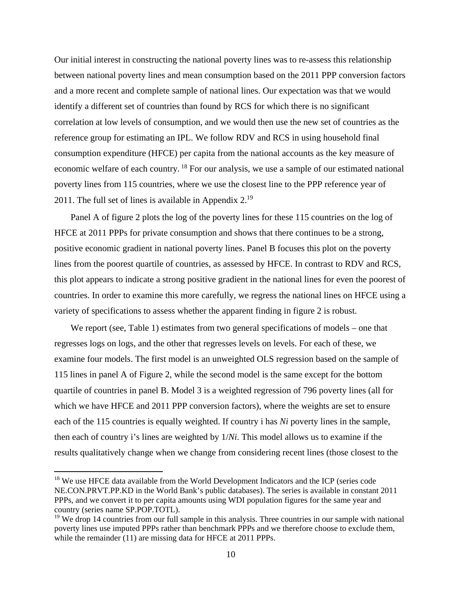Our initial interest in constructing the national poverty lines was to re-assess this relationship between national poverty lines and mean consumption based on the 2011 PPP conversion factors and a more recent and complete sample of national lines. Our expectation was that we would identify a different set of countries than found by RCS for which there is no significant correlation at low levels of consumption, and we would then use the new set of countries as the reference group for estimating an IPL. We follow RDV and RCS in using household final consumption expenditure (HFCE) per capita from the national accounts as the key measure of economic welfare of each country. 18 For our analysis, we use a sample of our estimated national poverty lines from 115 countries, where we use the closest line to the PPP reference year of 2011. The full set of lines is available in Appendix  $2^{19}$ .

Panel A of figure 2 plots the log of the poverty lines for these 115 countries on the log of HFCE at 2011 PPPs for private consumption and shows that there continues to be a strong, positive economic gradient in national poverty lines. Panel B focuses this plot on the poverty lines from the poorest quartile of countries, as assessed by HFCE. In contrast to RDV and RCS, this plot appears to indicate a strong positive gradient in the national lines for even the poorest of countries. In order to examine this more carefully, we regress the national lines on HFCE using a variety of specifications to assess whether the apparent finding in figure 2 is robust.

We report (see, Table 1) estimates from two general specifications of models – one that regresses logs on logs, and the other that regresses levels on levels. For each of these, we examine four models. The first model is an unweighted OLS regression based on the sample of 115 lines in panel A of Figure 2, while the second model is the same except for the bottom quartile of countries in panel B. Model 3 is a weighted regression of 796 poverty lines (all for which we have HFCE and 2011 PPP conversion factors), where the weights are set to ensure each of the 115 countries is equally weighted. If country i has *Ni* poverty lines in the sample, then each of country i's lines are weighted by 1/*Ni*. This model allows us to examine if the results qualitatively change when we change from considering recent lines (those closest to the

<sup>&</sup>lt;sup>18</sup> We use HFCE data available from the World Development Indicators and the ICP (series code NE.CON.PRVT.PP.KD in the World Bank's public databases). The series is available in constant 2011 PPPs, and we convert it to per capita amounts using WDI population figures for the same year and country (series name SP.POP.TOTL).

 $19$  We drop 14 countries from our full sample in this analysis. Three countries in our sample with national poverty lines use imputed PPPs rather than benchmark PPPs and we therefore choose to exclude them, while the remainder (11) are missing data for HFCE at 2011 PPPs.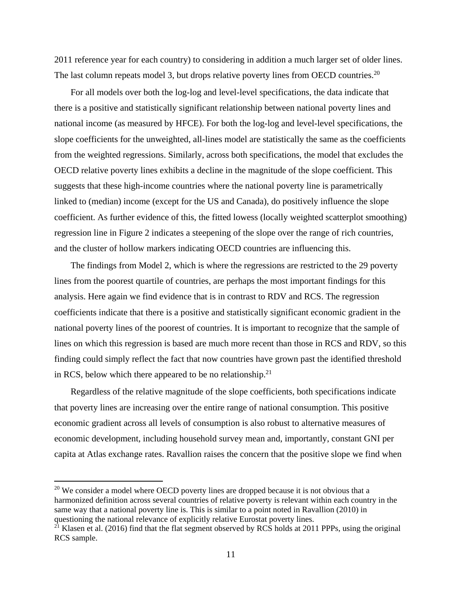2011 reference year for each country) to considering in addition a much larger set of older lines. The last column repeats model 3, but drops relative poverty lines from OECD countries.<sup>20</sup>

For all models over both the log-log and level-level specifications, the data indicate that there is a positive and statistically significant relationship between national poverty lines and national income (as measured by HFCE). For both the log-log and level-level specifications, the slope coefficients for the unweighted, all-lines model are statistically the same as the coefficients from the weighted regressions. Similarly, across both specifications, the model that excludes the OECD relative poverty lines exhibits a decline in the magnitude of the slope coefficient. This suggests that these high-income countries where the national poverty line is parametrically linked to (median) income (except for the US and Canada), do positively influence the slope coefficient. As further evidence of this, the fitted lowess (locally weighted scatterplot smoothing) regression line in Figure 2 indicates a steepening of the slope over the range of rich countries, and the cluster of hollow markers indicating OECD countries are influencing this.

The findings from Model 2, which is where the regressions are restricted to the 29 poverty lines from the poorest quartile of countries, are perhaps the most important findings for this analysis. Here again we find evidence that is in contrast to RDV and RCS. The regression coefficients indicate that there is a positive and statistically significant economic gradient in the national poverty lines of the poorest of countries. It is important to recognize that the sample of lines on which this regression is based are much more recent than those in RCS and RDV, so this finding could simply reflect the fact that now countries have grown past the identified threshold in RCS, below which there appeared to be no relationship.<sup>21</sup>

Regardless of the relative magnitude of the slope coefficients, both specifications indicate that poverty lines are increasing over the entire range of national consumption. This positive economic gradient across all levels of consumption is also robust to alternative measures of economic development, including household survey mean and, importantly, constant GNI per capita at Atlas exchange rates. Ravallion raises the concern that the positive slope we find when

 $20$  We consider a model where OECD poverty lines are dropped because it is not obvious that a harmonized definition across several countries of relative poverty is relevant within each country in the same way that a national poverty line is. This is similar to a point noted in Ravallion (2010) in questioning the national relevance of explicitly relative Eurostat poverty lines.

 $^{21}$  Klasen et al. (2016) find that the flat segment observed by RCS holds at 2011 PPPs, using the original RCS sample.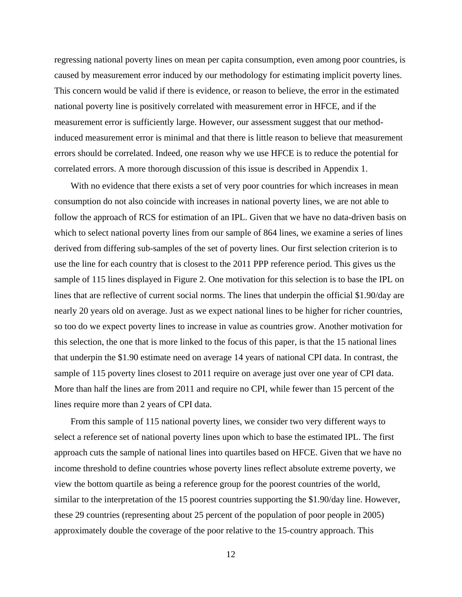regressing national poverty lines on mean per capita consumption, even among poor countries, is caused by measurement error induced by our methodology for estimating implicit poverty lines. This concern would be valid if there is evidence, or reason to believe, the error in the estimated national poverty line is positively correlated with measurement error in HFCE, and if the measurement error is sufficiently large. However, our assessment suggest that our methodinduced measurement error is minimal and that there is little reason to believe that measurement errors should be correlated. Indeed, one reason why we use HFCE is to reduce the potential for correlated errors. A more thorough discussion of this issue is described in Appendix 1.

With no evidence that there exists a set of very poor countries for which increases in mean consumption do not also coincide with increases in national poverty lines, we are not able to follow the approach of RCS for estimation of an IPL. Given that we have no data-driven basis on which to select national poverty lines from our sample of 864 lines, we examine a series of lines derived from differing sub-samples of the set of poverty lines. Our first selection criterion is to use the line for each country that is closest to the 2011 PPP reference period. This gives us the sample of 115 lines displayed in Figure 2. One motivation for this selection is to base the IPL on lines that are reflective of current social norms. The lines that underpin the official \$1.90/day are nearly 20 years old on average. Just as we expect national lines to be higher for richer countries, so too do we expect poverty lines to increase in value as countries grow. Another motivation for this selection, the one that is more linked to the focus of this paper, is that the 15 national lines that underpin the \$1.90 estimate need on average 14 years of national CPI data. In contrast, the sample of 115 poverty lines closest to 2011 require on average just over one year of CPI data. More than half the lines are from 2011 and require no CPI, while fewer than 15 percent of the lines require more than 2 years of CPI data.

From this sample of 115 national poverty lines, we consider two very different ways to select a reference set of national poverty lines upon which to base the estimated IPL. The first approach cuts the sample of national lines into quartiles based on HFCE. Given that we have no income threshold to define countries whose poverty lines reflect absolute extreme poverty, we view the bottom quartile as being a reference group for the poorest countries of the world, similar to the interpretation of the 15 poorest countries supporting the \$1.90/day line. However, these 29 countries (representing about 25 percent of the population of poor people in 2005) approximately double the coverage of the poor relative to the 15-country approach. This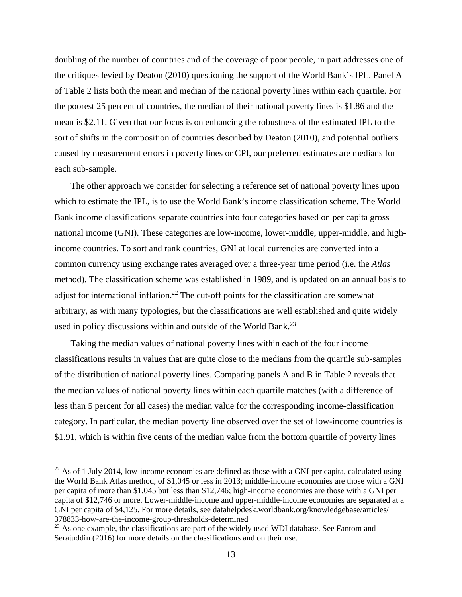doubling of the number of countries and of the coverage of poor people, in part addresses one of the critiques levied by Deaton (2010) questioning the support of the World Bank's IPL. Panel A of Table 2 lists both the mean and median of the national poverty lines within each quartile. For the poorest 25 percent of countries, the median of their national poverty lines is \$1.86 and the mean is \$2.11. Given that our focus is on enhancing the robustness of the estimated IPL to the sort of shifts in the composition of countries described by Deaton (2010), and potential outliers caused by measurement errors in poverty lines or CPI, our preferred estimates are medians for each sub-sample.

The other approach we consider for selecting a reference set of national poverty lines upon which to estimate the IPL, is to use the World Bank's income classification scheme. The World Bank income classifications separate countries into four categories based on per capita gross national income (GNI). These categories are low-income, lower-middle, upper-middle, and highincome countries. To sort and rank countries, GNI at local currencies are converted into a common currency using exchange rates averaged over a three-year time period (i.e. the *Atlas* method). The classification scheme was established in 1989, and is updated on an annual basis to adjust for international inflation.<sup>22</sup> The cut-off points for the classification are somewhat arbitrary, as with many typologies, but the classifications are well established and quite widely used in policy discussions within and outside of the World Bank.<sup>23</sup>

Taking the median values of national poverty lines within each of the four income classifications results in values that are quite close to the medians from the quartile sub-samples of the distribution of national poverty lines. Comparing panels A and B in Table 2 reveals that the median values of national poverty lines within each quartile matches (with a difference of less than 5 percent for all cases) the median value for the corresponding income-classification category. In particular, the median poverty line observed over the set of low-income countries is \$1.91, which is within five cents of the median value from the bottom quartile of poverty lines

 $22$  As of 1 July 2014, low-income economies are defined as those with a GNI per capita, calculated using the World Bank Atlas method, of \$1,045 or less in 2013; middle-income economies are those with a GNI per capita of more than \$1,045 but less than \$12,746; high-income economies are those with a GNI per capita of \$12,746 or more. Lower-middle-income and upper-middle-income economies are separated at a GNI per capita of \$4,125. For more details, see datahelpdesk.worldbank.org/knowledgebase/articles/ 378833-how-are-the-income-group-thresholds-determined

 $23$  As one example, the classifications are part of the widely used WDI database. See Fantom and Serajuddin (2016) for more details on the classifications and on their use.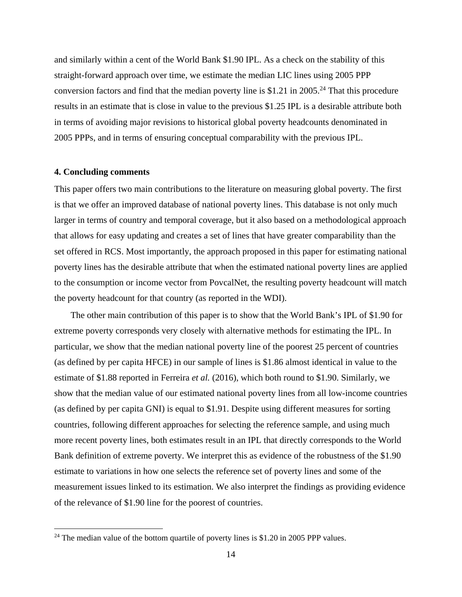and similarly within a cent of the World Bank \$1.90 IPL. As a check on the stability of this straight-forward approach over time, we estimate the median LIC lines using 2005 PPP conversion factors and find that the median poverty line is \$1.21 in 2005.<sup>24</sup> That this procedure results in an estimate that is close in value to the previous \$1.25 IPL is a desirable attribute both in terms of avoiding major revisions to historical global poverty headcounts denominated in 2005 PPPs, and in terms of ensuring conceptual comparability with the previous IPL.

## **4. Concluding comments**

This paper offers two main contributions to the literature on measuring global poverty. The first is that we offer an improved database of national poverty lines. This database is not only much larger in terms of country and temporal coverage, but it also based on a methodological approach that allows for easy updating and creates a set of lines that have greater comparability than the set offered in RCS. Most importantly, the approach proposed in this paper for estimating national poverty lines has the desirable attribute that when the estimated national poverty lines are applied to the consumption or income vector from PovcalNet, the resulting poverty headcount will match the poverty headcount for that country (as reported in the WDI).

The other main contribution of this paper is to show that the World Bank's IPL of \$1.90 for extreme poverty corresponds very closely with alternative methods for estimating the IPL. In particular, we show that the median national poverty line of the poorest 25 percent of countries (as defined by per capita HFCE) in our sample of lines is \$1.86 almost identical in value to the estimate of \$1.88 reported in Ferreira *et al.* (2016), which both round to \$1.90. Similarly, we show that the median value of our estimated national poverty lines from all low-income countries (as defined by per capita GNI) is equal to \$1.91. Despite using different measures for sorting countries, following different approaches for selecting the reference sample, and using much more recent poverty lines, both estimates result in an IPL that directly corresponds to the World Bank definition of extreme poverty. We interpret this as evidence of the robustness of the \$1.90 estimate to variations in how one selects the reference set of poverty lines and some of the measurement issues linked to its estimation. We also interpret the findings as providing evidence of the relevance of \$1.90 line for the poorest of countries.

 $24$  The median value of the bottom quartile of poverty lines is \$1.20 in 2005 PPP values.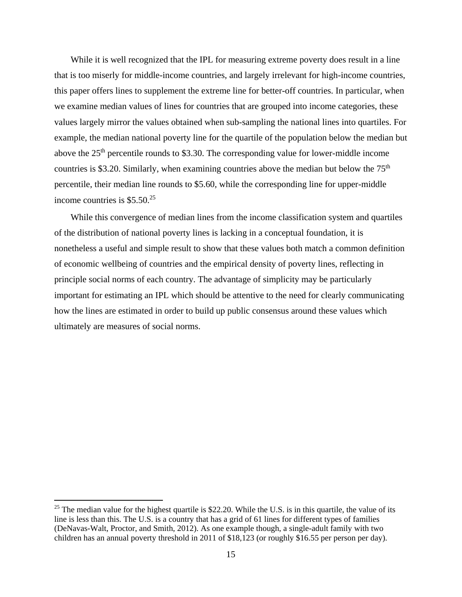While it is well recognized that the IPL for measuring extreme poverty does result in a line that is too miserly for middle-income countries, and largely irrelevant for high-income countries, this paper offers lines to supplement the extreme line for better-off countries. In particular, when we examine median values of lines for countries that are grouped into income categories, these values largely mirror the values obtained when sub-sampling the national lines into quartiles. For example, the median national poverty line for the quartile of the population below the median but above the 25<sup>th</sup> percentile rounds to \$3.30. The corresponding value for lower-middle income countries is \$3.20. Similarly, when examining countries above the median but below the  $75<sup>th</sup>$ percentile, their median line rounds to \$5.60, while the corresponding line for upper-middle income countries is  $$5.50<sup>25</sup>$ 

While this convergence of median lines from the income classification system and quartiles of the distribution of national poverty lines is lacking in a conceptual foundation, it is nonetheless a useful and simple result to show that these values both match a common definition of economic wellbeing of countries and the empirical density of poverty lines, reflecting in principle social norms of each country. The advantage of simplicity may be particularly important for estimating an IPL which should be attentive to the need for clearly communicating how the lines are estimated in order to build up public consensus around these values which ultimately are measures of social norms.

<sup>&</sup>lt;sup>25</sup> The median value for the highest quartile is \$22.20. While the U.S. is in this quartile, the value of its line is less than this. The U.S. is a country that has a grid of 61 lines for different types of families (DeNavas-Walt, Proctor, and Smith, 2012). As one example though, a single-adult family with two children has an annual poverty threshold in 2011 of \$18,123 (or roughly \$16.55 per person per day).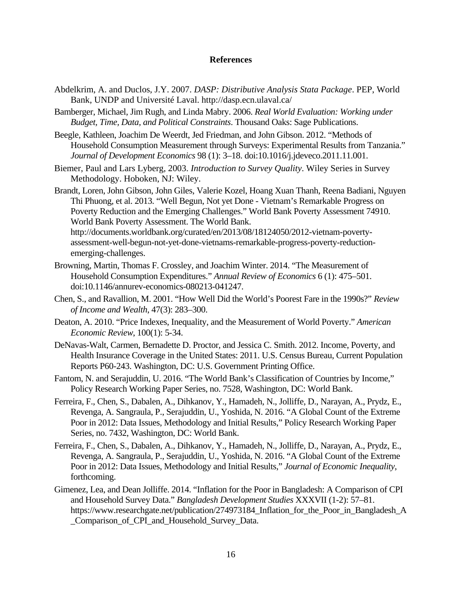## **References**

- Abdelkrim, A. and Duclos, J.Y. 2007. *DASP: Distributive Analysis Stata Package*. PEP, World Bank, UNDP and Université Laval. http://dasp.ecn.ulaval.ca/
- Bamberger, Michael, Jim Rugh, and Linda Mabry. 2006. *Real World Evaluation: Working under Budget, Time, Data, and Political Constraints*. Thousand Oaks: Sage Publications.
- Beegle, Kathleen, Joachim De Weerdt, Jed Friedman, and John Gibson. 2012. "Methods of Household Consumption Measurement through Surveys: Experimental Results from Tanzania." *Journal of Development Economics* 98 (1): 3–18. doi:10.1016/j.jdeveco.2011.11.001.
- Biemer, Paul and Lars Lyberg, 2003. *Introduction to Survey Quality*. Wiley Series in Survey Methodology. Hoboken, NJ: Wiley.
- Brandt, Loren, John Gibson, John Giles, Valerie Kozel, Hoang Xuan Thanh, Reena Badiani, Nguyen Thi Phuong, et al. 2013. "Well Begun, Not yet Done - Vietnam's Remarkable Progress on Poverty Reduction and the Emerging Challenges." World Bank Poverty Assessment 74910. World Bank Poverty Assessment. The World Bank. http://documents.worldbank.org/curated/en/2013/08/18124050/2012-vietnam-povertyassessment-well-begun-not-yet-done-vietnams-remarkable-progress-poverty-reductionemerging-challenges.
- Browning, Martin, Thomas F. Crossley, and Joachim Winter. 2014. "The Measurement of Household Consumption Expenditures." *Annual Review of Economics* 6 (1): 475–501. doi:10.1146/annurev-economics-080213-041247.
- Chen, S., and Ravallion, M. 2001. "How Well Did the World's Poorest Fare in the 1990s?" *Review of Income and Wealth*, 47(3): 283–300.
- Deaton, A. 2010. "Price Indexes, Inequality, and the Measurement of World Poverty." *American Economic Review*, 100(1): 5-34.
- DeNavas-Walt, Carmen, Bernadette D. Proctor, and Jessica C. Smith. 2012. Income, Poverty, and Health Insurance Coverage in the United States: 2011. U.S. Census Bureau, Current Population Reports P60-243. Washington, DC: U.S. Government Printing Office.
- Fantom, N. and Serajuddin, U. 2016. "The World Bank's Classification of Countries by Income," Policy Research Working Paper Series, no. 7528, Washington, DC: World Bank.
- Ferreira, F., Chen, S., Dabalen, A., Dihkanov, Y., Hamadeh, N., Jolliffe, D., Narayan, A., Prydz, E., Revenga, A. Sangraula, P., Serajuddin, U., Yoshida, N. 2016. "A Global Count of the Extreme Poor in 2012: Data Issues, Methodology and Initial Results," Policy Research Working Paper Series, no. 7432, Washington, DC: World Bank.
- Ferreira, F., Chen, S., Dabalen, A., Dihkanov, Y., Hamadeh, N., Jolliffe, D., Narayan, A., Prydz, E., Revenga, A. Sangraula, P., Serajuddin, U., Yoshida, N. 2016. "A Global Count of the Extreme Poor in 2012: Data Issues, Methodology and Initial Results," *Journal of Economic Inequality*, forthcoming.
- Gimenez, Lea, and Dean Jolliffe. 2014. "Inflation for the Poor in Bangladesh: A Comparison of CPI and Household Survey Data." *Bangladesh Development Studies* XXXVII (1-2): 57–81. https://www.researchgate.net/publication/274973184 Inflation for the Poor in Bangladesh A \_Comparison\_of\_CPI\_and\_Household\_Survey\_Data.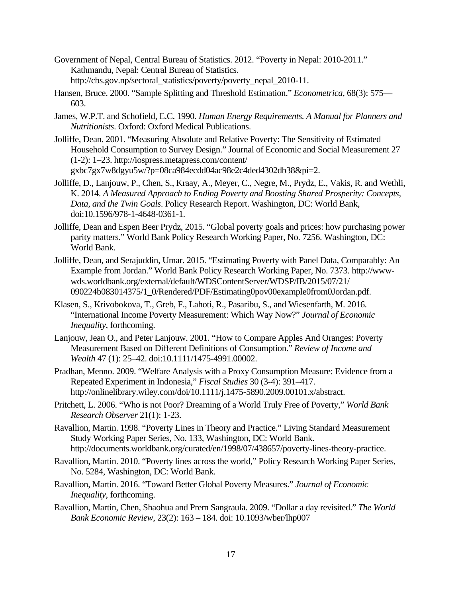- Government of Nepal, Central Bureau of Statistics. 2012. "Poverty in Nepal: 2010-2011." Kathmandu, Nepal: Central Bureau of Statistics. http://cbs.gov.np/sectoral\_statistics/poverty/poverty\_nepal\_2010-11.
- Hansen, Bruce. 2000. "Sample Splitting and Threshold Estimation." *Econometrica*, 68(3): 575— 603.
- James, W.P.T. and Schofield, E.C. 1990. *Human Energy Requirements. A Manual for Planners and Nutritionists*. Oxford: Oxford Medical Publications.
- Jolliffe, Dean. 2001. "Measuring Absolute and Relative Poverty: The Sensitivity of Estimated Household Consumption to Survey Design." Journal of Economic and Social Measurement 27 (1-2): 1–23. http://iospress.metapress.com/content/ gxbc7gx7w8dgyu5w/?p=08ca984ecdd04ac98e2c4ded4302db38&pi=2.
- Jolliffe, D., Lanjouw, P., Chen, S., Kraay, A., Meyer, C., Negre, M., Prydz, E., Vakis, R. and Wethli, K. 2014. *A Measured Approach to Ending Poverty and Boosting Shared Prosperity: Concepts, Data, and the Twin Goals*. Policy Research Report. Washington, DC: World Bank, doi:10.1596/978-1-4648-0361-1.
- Jolliffe, Dean and Espen Beer Prydz, 2015. "Global poverty goals and prices: how purchasing power parity matters." World Bank Policy Research Working Paper, No. 7256. Washington, DC: World Bank.
- Jolliffe, Dean, and Serajuddin, Umar. 2015. "Estimating Poverty with Panel Data, Comparably: An Example from Jordan." World Bank Policy Research Working Paper, No. 7373. http://wwwwds.worldbank.org/external/default/WDSContentServer/WDSP/IB/2015/07/21/ 090224b083014375/1\_0/Rendered/PDF/Estimating0pov00example0from0Jordan.pdf.
- Klasen, S., Krivobokova, T., Greb, F., Lahoti, R., Pasaribu, S., and Wiesenfarth, M. 2016. "International Income Poverty Measurement: Which Way Now?" *Journal of Economic Inequality*, forthcoming.
- Lanjouw, Jean O., and Peter Lanjouw. 2001. "How to Compare Apples And Oranges: Poverty Measurement Based on Different Definitions of Consumption." *Review of Income and Wealth* 47 (1): 25–42. doi:10.1111/1475-4991.00002.
- Pradhan, Menno. 2009. "Welfare Analysis with a Proxy Consumption Measure: Evidence from a Repeated Experiment in Indonesia," *Fiscal Studies* 30 (3-4): 391–417. http://onlinelibrary.wiley.com/doi/10.1111/j.1475-5890.2009.00101.x/abstract.
- Pritchett, L. 2006. "Who is not Poor? Dreaming of a World Truly Free of Poverty," *World Bank Research Observer* 21(1): 1-23.
- Ravallion, Martin. 1998. "Poverty Lines in Theory and Practice." Living Standard Measurement Study Working Paper Series, No. 133, Washington, DC: World Bank. http://documents.worldbank.org/curated/en/1998/07/438657/poverty-lines-theory-practice.
- Ravallion, Martin. 2010. "Poverty lines across the world," Policy Research Working Paper Series, No. 5284, Washington, DC: World Bank.
- Ravallion, Martin. 2016. "Toward Better Global Poverty Measures." *Journal of Economic Inequality*, forthcoming.
- Ravallion, Martin, Chen, Shaohua and Prem Sangraula. 2009. "Dollar a day revisited." *The World Bank Economic Review*, 23(2): 163 – 184. doi: 10.1093/wber/lhp007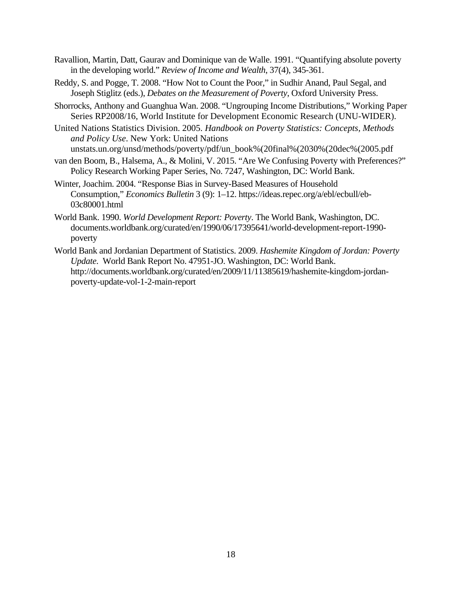- Ravallion, Martin, Datt, Gaurav and Dominique van de Walle. 1991. "Quantifying absolute poverty in the developing world." *Review of Income and Wealth*, 37(4), 345-361.
- Reddy, S. and Pogge, T. 2008. "How Not to Count the Poor," in Sudhir Anand, Paul Segal, and Joseph Stiglitz (eds.), *Debates on the Measurement of Poverty*, Oxford University Press.
- Shorrocks, Anthony and Guanghua Wan. 2008. "Ungrouping Income Distributions," Working Paper Series RP2008/16, World Institute for Development Economic Research (UNU-WIDER).
- United Nations Statistics Division. 2005. *Handbook on Poverty Statistics: Concepts, Methods and Policy Use*. New York: United Nations
- unstats.un.org/unsd/methods/poverty/pdf/un\_book%(20final%(2030%(20dec%(2005.pdf
- van den Boom, B., Halsema, A., & Molini, V. 2015. "Are We Confusing Poverty with Preferences?" Policy Research Working Paper Series, No. 7247, Washington, DC: World Bank.
- Winter, Joachim. 2004. "Response Bias in Survey-Based Measures of Household Consumption," *Economics Bulletin* 3 (9): 1–12. https://ideas.repec.org/a/ebl/ecbull/eb-03c80001.html
- World Bank. 1990. *World Development Report: Poverty*. The World Bank, Washington, DC. documents.worldbank.org/curated/en/1990/06/17395641/world-development-report-1990 poverty
- World Bank and Jordanian Department of Statistics. 2009. *Hashemite Kingdom of Jordan: Poverty Update*. World Bank Report No. 47951-JO. Washington, DC: World Bank. http://documents.worldbank.org/curated/en/2009/11/11385619/hashemite-kingdom-jordanpoverty-update-vol-1-2-main-report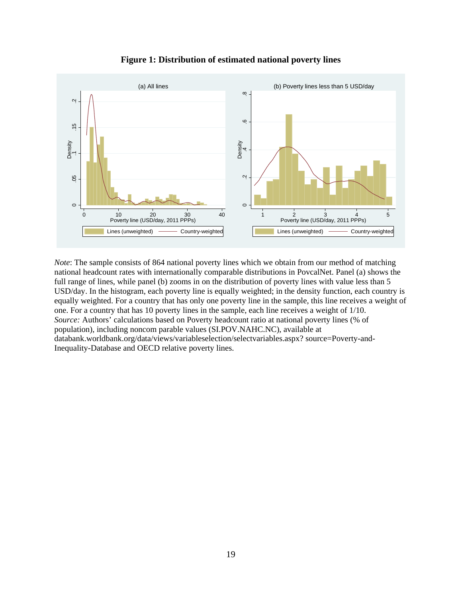

**Figure 1: Distribution of estimated national poverty lines** 

*Note*: The sample consists of 864 national poverty lines which we obtain from our method of matching national headcount rates with internationally comparable distributions in PovcalNet. Panel (a) shows the full range of lines, while panel (b) zooms in on the distribution of poverty lines with value less than 5 USD/day. In the histogram, each poverty line is equally weighted; in the density function, each country is equally weighted. For a country that has only one poverty line in the sample, this line receives a weight of one. For a country that has 10 poverty lines in the sample, each line receives a weight of 1/10. *Source:* Authors' calculations based on Poverty headcount ratio at national poverty lines (% of population), including noncom parable values (SI.POV.NAHC.NC), available at databank.worldbank.org/data/views/variableselection/selectvariables.aspx? source=Poverty-and-Inequality-Database and OECD relative poverty lines.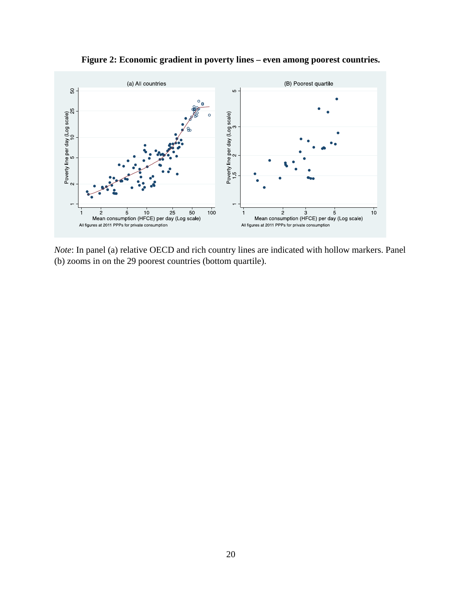

**Figure 2: Economic gradient in poverty lines – even among poorest countries.** 

*Note*: In panel (a) relative OECD and rich country lines are indicated with hollow markers. Panel (b) zooms in on the 29 poorest countries (bottom quartile).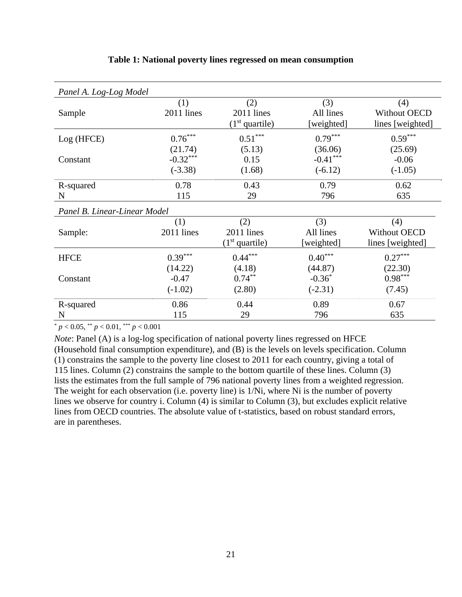| Panel A. Log-Log Model       |                                    |                                       |                                    |                                                |  |  |  |
|------------------------------|------------------------------------|---------------------------------------|------------------------------------|------------------------------------------------|--|--|--|
| Sample                       | (1)<br>2011 lines                  | (2)<br>2011 lines<br>$(1st$ quartile) | (3)<br>All lines<br>[weighted]     | (4)<br><b>Without OECD</b><br>lines [weighted] |  |  |  |
| Log (HFCE)                   | $0.76***$                          | $0.51***$                             | $0.79***$                          | $0.59***$                                      |  |  |  |
| Constant                     | (21.74)<br>$-0.32***$<br>$(-3.38)$ | (5.13)<br>0.15<br>(1.68)              | (36.06)<br>$-0.41***$<br>$(-6.12)$ | (25.69)<br>$-0.06$<br>$(-1.05)$                |  |  |  |
| R-squared                    | 0.78                               | 0.43                                  | 0.79                               | 0.62                                           |  |  |  |
| N                            | 115                                | 29                                    | 796                                | 635                                            |  |  |  |
| Panel B. Linear-Linear Model |                                    |                                       |                                    |                                                |  |  |  |
| Sample:                      | (1)<br>2011 lines                  | (2)<br>2011 lines<br>$(1st$ quartile) | (3)<br>All lines<br>[weighted]     | (4)<br><b>Without OECD</b><br>lines [weighted] |  |  |  |
| <b>HFCE</b>                  | $0.39***$                          | $0.44***$                             | $0.40***$                          | $0.27***$                                      |  |  |  |
| Constant                     | (14.22)<br>$-0.47$<br>$(-1.02)$    | (4.18)<br>$0.74***$<br>(2.80)         | (44.87)<br>$-0.36*$<br>$(-2.31)$   | (22.30)<br>$0.98^{\ast\ast\ast}$<br>(7.45)     |  |  |  |
| R-squared                    | 0.86                               | 0.44                                  | 0.89                               | 0.67                                           |  |  |  |
| N                            | 115                                | 29                                    | 796                                | 635                                            |  |  |  |

## **Table 1: National poverty lines regressed on mean consumption**

 $p < 0.05$ ,  $p < 0.01$ ,  $p > 0.001$ 

*Note*: Panel (A) is a log-log specification of national poverty lines regressed on HFCE (Household final consumption expenditure), and (B) is the levels on levels specification. Column (1) constrains the sample to the poverty line closest to 2011 for each country, giving a total of 115 lines. Column (2) constrains the sample to the bottom quartile of these lines. Column (3) lists the estimates from the full sample of 796 national poverty lines from a weighted regression. The weight for each observation (i.e. poverty line) is 1/Ni, where Ni is the number of poverty lines we observe for country i. Column (4) is similar to Column (3), but excludes explicit relative lines from OECD countries. The absolute value of t-statistics, based on robust standard errors, are in parentheses.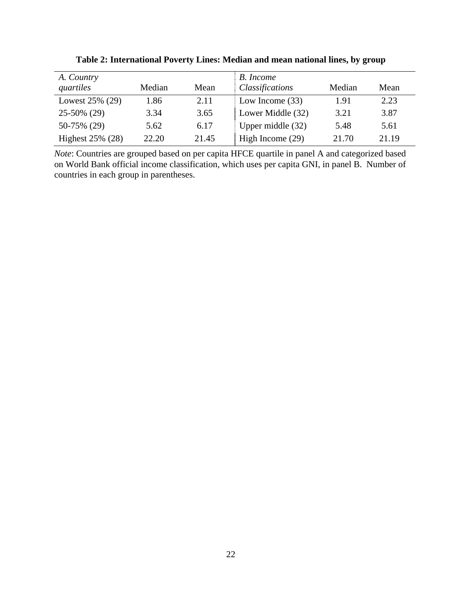| A. Country<br>quartiles | Median | Mean  | B. Income<br><i>Classifications</i> | Median | Mean  |
|-------------------------|--------|-------|-------------------------------------|--------|-------|
| Lowest 25% (29)         | 1.86   | 2.11  | Low Income $(33)$                   | 1.91   | 2.23  |
| 25-50% (29)             | 3.34   | 3.65  | Lower Middle (32)                   | 3.21   | 3.87  |
| 50-75% (29)             | 5.62   | 6.17  | Upper middle (32)                   | 5.48   | 5.61  |
| Highest 25% (28)        | 22.20  | 21.45 | High Income $(29)$                  | 21.70  | 21.19 |

**Table 2: International Poverty Lines: Median and mean national lines, by group** 

*Note*: Countries are grouped based on per capita HFCE quartile in panel A and categorized based on World Bank official income classification, which uses per capita GNI, in panel B. Number of countries in each group in parentheses.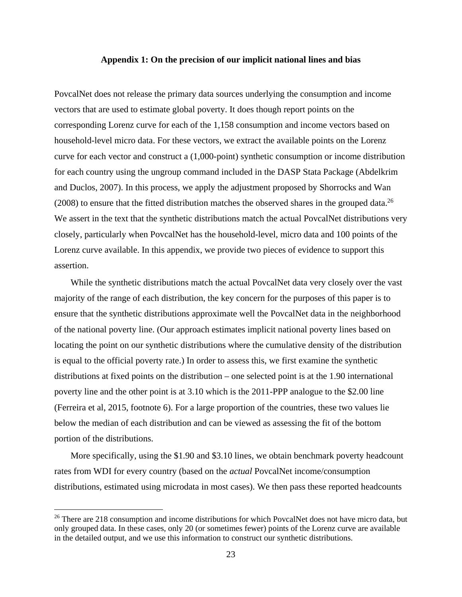#### **Appendix 1: On the precision of our implicit national lines and bias**

PovcalNet does not release the primary data sources underlying the consumption and income vectors that are used to estimate global poverty. It does though report points on the corresponding Lorenz curve for each of the 1,158 consumption and income vectors based on household-level micro data. For these vectors, we extract the available points on the Lorenz curve for each vector and construct a (1,000-point) synthetic consumption or income distribution for each country using the ungroup command included in the DASP Stata Package (Abdelkrim and Duclos, 2007). In this process, we apply the adjustment proposed by Shorrocks and Wan  $(2008)$  to ensure that the fitted distribution matches the observed shares in the grouped data.<sup>26</sup> We assert in the text that the synthetic distributions match the actual PovcalNet distributions very closely, particularly when PovcalNet has the household-level, micro data and 100 points of the Lorenz curve available. In this appendix, we provide two pieces of evidence to support this assertion.

While the synthetic distributions match the actual PovcalNet data very closely over the vast majority of the range of each distribution, the key concern for the purposes of this paper is to ensure that the synthetic distributions approximate well the PovcalNet data in the neighborhood of the national poverty line. (Our approach estimates implicit national poverty lines based on locating the point on our synthetic distributions where the cumulative density of the distribution is equal to the official poverty rate.) In order to assess this, we first examine the synthetic distributions at fixed points on the distribution – one selected point is at the 1.90 international poverty line and the other point is at 3.10 which is the 2011-PPP analogue to the \$2.00 line (Ferreira et al, 2015, footnote 6). For a large proportion of the countries, these two values lie below the median of each distribution and can be viewed as assessing the fit of the bottom portion of the distributions.

More specifically, using the \$1.90 and \$3.10 lines, we obtain benchmark poverty headcount rates from WDI for every country (based on the *actual* PovcalNet income/consumption distributions, estimated using microdata in most cases). We then pass these reported headcounts

<sup>&</sup>lt;sup>26</sup> There are 218 consumption and income distributions for which PovcalNet does not have micro data, but only grouped data. In these cases, only 20 (or sometimes fewer) points of the Lorenz curve are available in the detailed output, and we use this information to construct our synthetic distributions.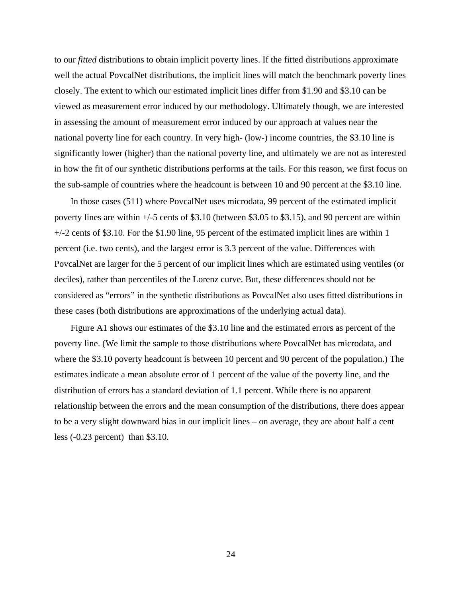to our *fitted* distributions to obtain implicit poverty lines. If the fitted distributions approximate well the actual PovcalNet distributions, the implicit lines will match the benchmark poverty lines closely. The extent to which our estimated implicit lines differ from \$1.90 and \$3.10 can be viewed as measurement error induced by our methodology. Ultimately though, we are interested in assessing the amount of measurement error induced by our approach at values near the national poverty line for each country. In very high- (low-) income countries, the \$3.10 line is significantly lower (higher) than the national poverty line, and ultimately we are not as interested in how the fit of our synthetic distributions performs at the tails. For this reason, we first focus on the sub-sample of countries where the headcount is between 10 and 90 percent at the \$3.10 line.

In those cases (511) where PovcalNet uses microdata, 99 percent of the estimated implicit poverty lines are within +/-5 cents of \$3.10 (between \$3.05 to \$3.15), and 90 percent are within  $+/-2$  cents of \$3.10. For the \$1.90 line, 95 percent of the estimated implicit lines are within 1 percent (i.e. two cents), and the largest error is 3.3 percent of the value. Differences with PovcalNet are larger for the 5 percent of our implicit lines which are estimated using ventiles (or deciles), rather than percentiles of the Lorenz curve. But, these differences should not be considered as "errors" in the synthetic distributions as PovcalNet also uses fitted distributions in these cases (both distributions are approximations of the underlying actual data).

Figure A1 shows our estimates of the \$3.10 line and the estimated errors as percent of the poverty line. (We limit the sample to those distributions where PovcalNet has microdata, and where the \$3.10 poverty headcount is between 10 percent and 90 percent of the population.) The estimates indicate a mean absolute error of 1 percent of the value of the poverty line, and the distribution of errors has a standard deviation of 1.1 percent. While there is no apparent relationship between the errors and the mean consumption of the distributions, there does appear to be a very slight downward bias in our implicit lines – on average, they are about half a cent less (-0.23 percent) than \$3.10.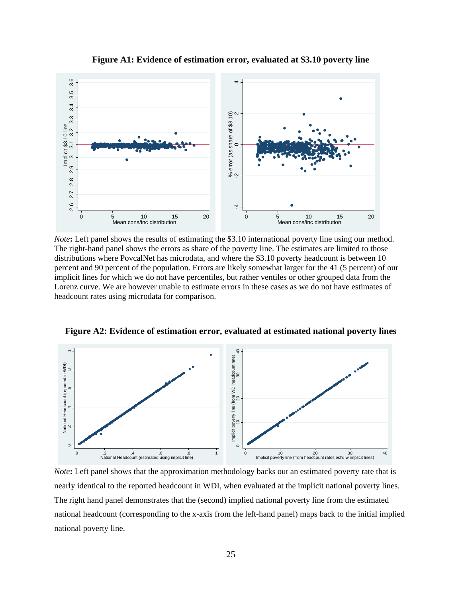

**Figure A1: Evidence of estimation error, evaluated at \$3.10 poverty line** 

*Note*: Left panel shows the results of estimating the \$3.10 international poverty line using our method. The right-hand panel shows the errors as share of the poverty line. The estimates are limited to those distributions where PovcalNet has microdata, and where the \$3.10 poverty headcount is between 10 percent and 90 percent of the population. Errors are likely somewhat larger for the 41 (5 percent) of our implicit lines for which we do not have percentiles, but rather ventiles or other grouped data from the Lorenz curve. We are however unable to estimate errors in these cases as we do not have estimates of headcount rates using microdata for comparison.



**Figure A2: Evidence of estimation error, evaluated at estimated national poverty lines** 

*Note***:** Left panel shows that the approximation methodology backs out an estimated poverty rate that is nearly identical to the reported headcount in WDI, when evaluated at the implicit national poverty lines. The right hand panel demonstrates that the (second) implied national poverty line from the estimated national headcount (corresponding to the x-axis from the left-hand panel) maps back to the initial implied national poverty line.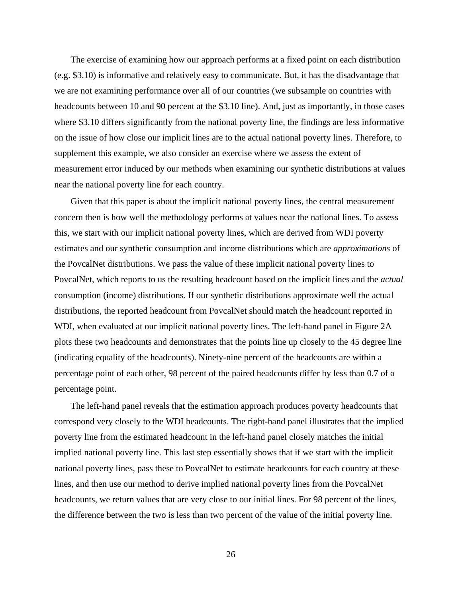The exercise of examining how our approach performs at a fixed point on each distribution (e.g. \$3.10) is informative and relatively easy to communicate. But, it has the disadvantage that we are not examining performance over all of our countries (we subsample on countries with headcounts between 10 and 90 percent at the \$3.10 line). And, just as importantly, in those cases where \$3.10 differs significantly from the national poverty line, the findings are less informative on the issue of how close our implicit lines are to the actual national poverty lines. Therefore, to supplement this example, we also consider an exercise where we assess the extent of measurement error induced by our methods when examining our synthetic distributions at values near the national poverty line for each country.

Given that this paper is about the implicit national poverty lines, the central measurement concern then is how well the methodology performs at values near the national lines. To assess this, we start with our implicit national poverty lines, which are derived from WDI poverty estimates and our synthetic consumption and income distributions which are *approximations* of the PovcalNet distributions. We pass the value of these implicit national poverty lines to PovcalNet, which reports to us the resulting headcount based on the implicit lines and the *actual* consumption (income) distributions. If our synthetic distributions approximate well the actual distributions, the reported headcount from PovcalNet should match the headcount reported in WDI, when evaluated at our implicit national poverty lines. The left-hand panel in Figure 2A plots these two headcounts and demonstrates that the points line up closely to the 45 degree line (indicating equality of the headcounts). Ninety-nine percent of the headcounts are within a percentage point of each other, 98 percent of the paired headcounts differ by less than 0.7 of a percentage point.

The left-hand panel reveals that the estimation approach produces poverty headcounts that correspond very closely to the WDI headcounts. The right-hand panel illustrates that the implied poverty line from the estimated headcount in the left-hand panel closely matches the initial implied national poverty line. This last step essentially shows that if we start with the implicit national poverty lines, pass these to PovcalNet to estimate headcounts for each country at these lines, and then use our method to derive implied national poverty lines from the PovcalNet headcounts, we return values that are very close to our initial lines. For 98 percent of the lines, the difference between the two is less than two percent of the value of the initial poverty line.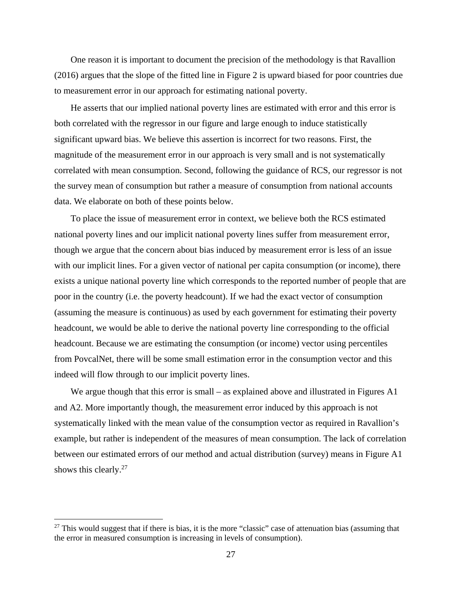One reason it is important to document the precision of the methodology is that Ravallion (2016) argues that the slope of the fitted line in Figure 2 is upward biased for poor countries due to measurement error in our approach for estimating national poverty.

He asserts that our implied national poverty lines are estimated with error and this error is both correlated with the regressor in our figure and large enough to induce statistically significant upward bias. We believe this assertion is incorrect for two reasons. First, the magnitude of the measurement error in our approach is very small and is not systematically correlated with mean consumption. Second, following the guidance of RCS, our regressor is not the survey mean of consumption but rather a measure of consumption from national accounts data. We elaborate on both of these points below.

To place the issue of measurement error in context, we believe both the RCS estimated national poverty lines and our implicit national poverty lines suffer from measurement error, though we argue that the concern about bias induced by measurement error is less of an issue with our implicit lines. For a given vector of national per capita consumption (or income), there exists a unique national poverty line which corresponds to the reported number of people that are poor in the country (i.e. the poverty headcount). If we had the exact vector of consumption (assuming the measure is continuous) as used by each government for estimating their poverty headcount, we would be able to derive the national poverty line corresponding to the official headcount. Because we are estimating the consumption (or income) vector using percentiles from PovcalNet, there will be some small estimation error in the consumption vector and this indeed will flow through to our implicit poverty lines.

We argue though that this error is small – as explained above and illustrated in Figures A1 and A2. More importantly though, the measurement error induced by this approach is not systematically linked with the mean value of the consumption vector as required in Ravallion's example, but rather is independent of the measures of mean consumption. The lack of correlation between our estimated errors of our method and actual distribution (survey) means in Figure A1 shows this clearly.<sup>27</sup>

 $27$  This would suggest that if there is bias, it is the more "classic" case of attenuation bias (assuming that the error in measured consumption is increasing in levels of consumption).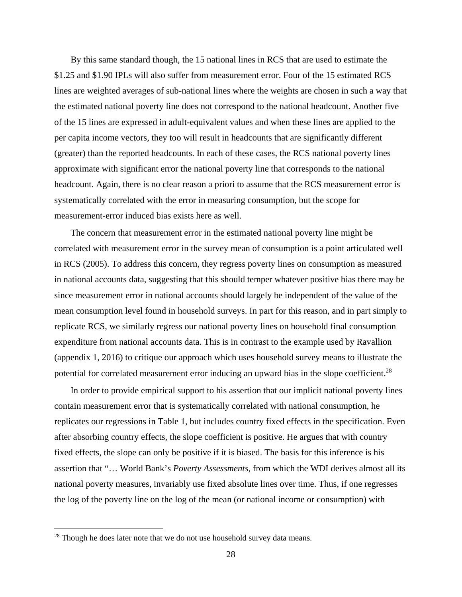By this same standard though, the 15 national lines in RCS that are used to estimate the \$1.25 and \$1.90 IPLs will also suffer from measurement error. Four of the 15 estimated RCS lines are weighted averages of sub-national lines where the weights are chosen in such a way that the estimated national poverty line does not correspond to the national headcount. Another five of the 15 lines are expressed in adult-equivalent values and when these lines are applied to the per capita income vectors, they too will result in headcounts that are significantly different (greater) than the reported headcounts. In each of these cases, the RCS national poverty lines approximate with significant error the national poverty line that corresponds to the national headcount. Again, there is no clear reason a priori to assume that the RCS measurement error is systematically correlated with the error in measuring consumption, but the scope for measurement-error induced bias exists here as well.

The concern that measurement error in the estimated national poverty line might be correlated with measurement error in the survey mean of consumption is a point articulated well in RCS (2005). To address this concern, they regress poverty lines on consumption as measured in national accounts data, suggesting that this should temper whatever positive bias there may be since measurement error in national accounts should largely be independent of the value of the mean consumption level found in household surveys. In part for this reason, and in part simply to replicate RCS, we similarly regress our national poverty lines on household final consumption expenditure from national accounts data. This is in contrast to the example used by Ravallion (appendix 1, 2016) to critique our approach which uses household survey means to illustrate the potential for correlated measurement error inducing an upward bias in the slope coefficient.<sup>28</sup>

In order to provide empirical support to his assertion that our implicit national poverty lines contain measurement error that is systematically correlated with national consumption, he replicates our regressions in Table 1, but includes country fixed effects in the specification. Even after absorbing country effects, the slope coefficient is positive. He argues that with country fixed effects, the slope can only be positive if it is biased. The basis for this inference is his assertion that "… World Bank's *Poverty Assessments*, from which the WDI derives almost all its national poverty measures, invariably use fixed absolute lines over time. Thus, if one regresses the log of the poverty line on the log of the mean (or national income or consumption) with

 $28$  Though he does later note that we do not use household survey data means.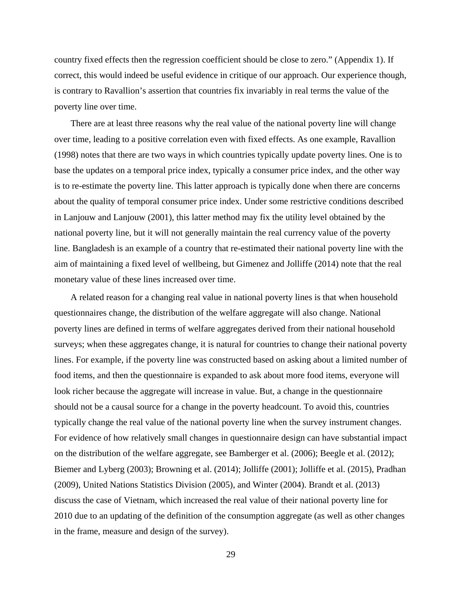country fixed effects then the regression coefficient should be close to zero." (Appendix 1). If correct, this would indeed be useful evidence in critique of our approach. Our experience though, is contrary to Ravallion's assertion that countries fix invariably in real terms the value of the poverty line over time.

There are at least three reasons why the real value of the national poverty line will change over time, leading to a positive correlation even with fixed effects. As one example, Ravallion (1998) notes that there are two ways in which countries typically update poverty lines. One is to base the updates on a temporal price index, typically a consumer price index, and the other way is to re-estimate the poverty line. This latter approach is typically done when there are concerns about the quality of temporal consumer price index. Under some restrictive conditions described in Lanjouw and Lanjouw (2001), this latter method may fix the utility level obtained by the national poverty line, but it will not generally maintain the real currency value of the poverty line. Bangladesh is an example of a country that re-estimated their national poverty line with the aim of maintaining a fixed level of wellbeing, but Gimenez and Jolliffe (2014) note that the real monetary value of these lines increased over time.

A related reason for a changing real value in national poverty lines is that when household questionnaires change, the distribution of the welfare aggregate will also change. National poverty lines are defined in terms of welfare aggregates derived from their national household surveys; when these aggregates change, it is natural for countries to change their national poverty lines. For example, if the poverty line was constructed based on asking about a limited number of food items, and then the questionnaire is expanded to ask about more food items, everyone will look richer because the aggregate will increase in value. But, a change in the questionnaire should not be a causal source for a change in the poverty headcount. To avoid this, countries typically change the real value of the national poverty line when the survey instrument changes. For evidence of how relatively small changes in questionnaire design can have substantial impact on the distribution of the welfare aggregate, see Bamberger et al. (2006); Beegle et al. (2012); Biemer and Lyberg (2003); Browning et al. (2014); Jolliffe (2001); Jolliffe et al. (2015), Pradhan (2009), United Nations Statistics Division (2005), and Winter (2004). Brandt et al. (2013) discuss the case of Vietnam, which increased the real value of their national poverty line for 2010 due to an updating of the definition of the consumption aggregate (as well as other changes in the frame, measure and design of the survey).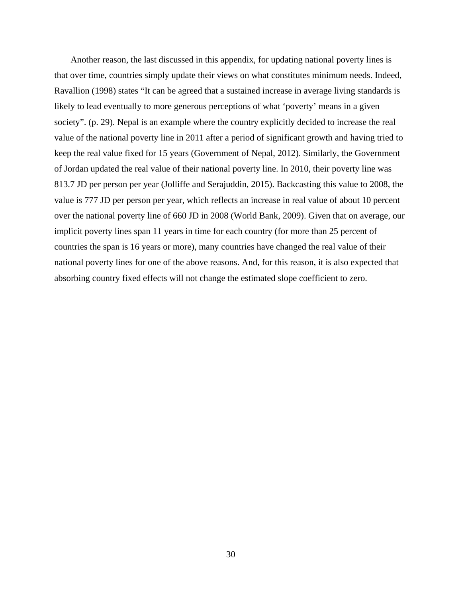Another reason, the last discussed in this appendix, for updating national poverty lines is that over time, countries simply update their views on what constitutes minimum needs. Indeed, Ravallion (1998) states "It can be agreed that a sustained increase in average living standards is likely to lead eventually to more generous perceptions of what 'poverty' means in a given society". (p. 29). Nepal is an example where the country explicitly decided to increase the real value of the national poverty line in 2011 after a period of significant growth and having tried to keep the real value fixed for 15 years (Government of Nepal, 2012). Similarly, the Government of Jordan updated the real value of their national poverty line. In 2010, their poverty line was 813.7 JD per person per year (Jolliffe and Serajuddin, 2015). Backcasting this value to 2008, the value is 777 JD per person per year, which reflects an increase in real value of about 10 percent over the national poverty line of 660 JD in 2008 (World Bank, 2009). Given that on average, our implicit poverty lines span 11 years in time for each country (for more than 25 percent of countries the span is 16 years or more), many countries have changed the real value of their national poverty lines for one of the above reasons. And, for this reason, it is also expected that absorbing country fixed effects will not change the estimated slope coefficient to zero.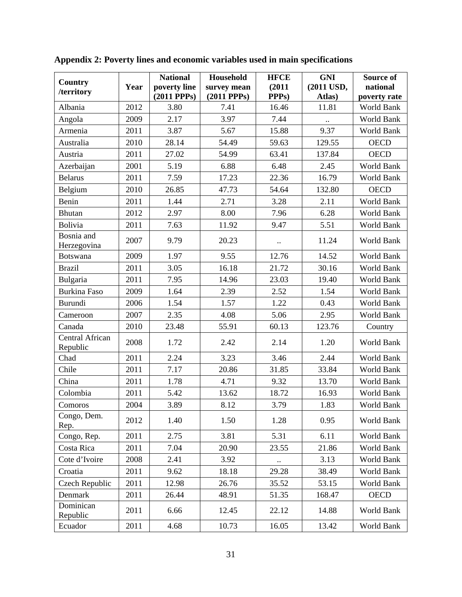|                              |      | <b>National</b> | Household        | <b>HFCE</b>          | <b>GNI</b> | Source of    |
|------------------------------|------|-----------------|------------------|----------------------|------------|--------------|
| <b>Country</b><br>/territory | Year | poverty line    | survey mean      | (2011)               | (2011 USD, | national     |
|                              |      | $(2011$ PPPs)   | $(2011$ PPPs $)$ | PPP <sub>s</sub> )   | Atlas)     | poverty rate |
| Albania                      | 2012 | 3.80            | 7.41             | 16.46                | 11.81      | World Bank   |
| Angola                       | 2009 | 2.17            | 3.97             | 7.44                 |            | World Bank   |
| Armenia                      | 2011 | 3.87            | 5.67             | 15.88                | 9.37       | World Bank   |
| Australia                    | 2010 | 28.14           | 54.49            | 59.63                | 129.55     | <b>OECD</b>  |
| Austria                      | 2011 | 27.02           | 54.99            | 63.41                | 137.84     | <b>OECD</b>  |
| Azerbaijan                   | 2001 | 5.19            | 6.88             | 6.48                 | 2.45       | World Bank   |
| <b>Belarus</b>               | 2011 | 7.59            | 17.23            | 22.36                | 16.79      | World Bank   |
| Belgium                      | 2010 | 26.85           | 47.73            | 54.64                | 132.80     | <b>OECD</b>  |
| Benin                        | 2011 | 1.44            | 2.71             | 3.28                 | 2.11       | World Bank   |
| <b>Bhutan</b>                | 2012 | 2.97            | 8.00             | 7.96                 | 6.28       | World Bank   |
| Bolivia                      | 2011 | 7.63            | 11.92            | 9.47                 | 5.51       | World Bank   |
| Bosnia and<br>Herzegovina    | 2007 | 9.79            | 20.23            | $\ddot{\phantom{0}}$ | 11.24      | World Bank   |
| <b>Botswana</b>              | 2009 | 1.97            | 9.55             | 12.76                | 14.52      | World Bank   |
| <b>Brazil</b>                | 2011 | 3.05            | 16.18            | 21.72                | 30.16      | World Bank   |
| Bulgaria                     | 2011 | 7.95            | 14.96            | 23.03                | 19.40      | World Bank   |
| <b>Burkina Faso</b>          | 2009 | 1.64            | 2.39             | 2.52                 | 1.54       | World Bank   |
| Burundi                      | 2006 | 1.54            | 1.57             | 1.22                 | 0.43       | World Bank   |
| Cameroon                     | 2007 | 2.35            | 4.08             | 5.06                 | 2.95       | World Bank   |
| Canada                       | 2010 | 23.48           | 55.91            | 60.13                | 123.76     | Country      |
| Central African<br>Republic  | 2008 | 1.72            | 2.42             | 2.14                 | 1.20       | World Bank   |
| Chad                         | 2011 | 2.24            | 3.23             | 3.46                 | 2.44       | World Bank   |
| Chile                        | 2011 | 7.17            | 20.86            | 31.85                | 33.84      | World Bank   |
| China                        | 2011 | 1.78            | 4.71             | 9.32                 | 13.70      | World Bank   |
| Colombia                     | 2011 | 5.42            | 13.62            | 18.72                | 16.93      | World Bank   |
| Comoros                      | 2004 | 3.89            | 8.12             | 3.79                 | 1.83       | World Bank   |
| Congo, Dem.<br>Rep.          | 2012 | 1.40            | 1.50             | 1.28                 | 0.95       | World Bank   |
| Congo, Rep.                  | 2011 | 2.75            | 3.81             | 5.31                 | 6.11       | World Bank   |
| Costa Rica                   | 2011 | 7.04            | 20.90            | 23.55                | 21.86      | World Bank   |
| Cote d'Ivoire                | 2008 | 2.41            | 3.92             |                      | 3.13       | World Bank   |
| Croatia                      | 2011 | 9.62            | 18.18            | 29.28                | 38.49      | World Bank   |
| Czech Republic               | 2011 | 12.98           | 26.76            | 35.52                | 53.15      | World Bank   |
| Denmark                      | 2011 | 26.44           | 48.91            | 51.35                | 168.47     | <b>OECD</b>  |
| Dominican<br>Republic        | 2011 | 6.66            | 12.45            | 22.12                | 14.88      | World Bank   |
| Ecuador                      | 2011 | 4.68            | 10.73            | 16.05                | 13.42      | World Bank   |

**Appendix 2: Poverty lines and economic variables used in main specifications**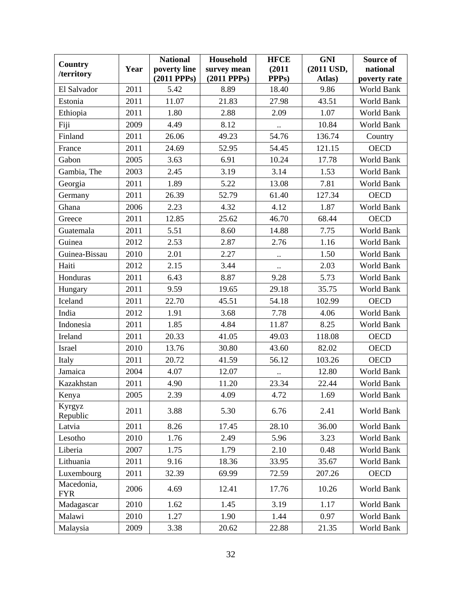| Country                  |      | <b>National</b>  | Household        | <b>HFCE</b>          | <b>GNI</b> | Source of    |
|--------------------------|------|------------------|------------------|----------------------|------------|--------------|
| /territory               | Year | poverty line     | survey mean      | (2011)               | (2011 USD, | national     |
|                          |      | $(2011$ PPPs $)$ | $(2011$ PPPs $)$ | PPP <sub>s</sub> )   | Atlas)     | poverty rate |
| El Salvador              | 2011 | 5.42             | 8.89             | 18.40                | 9.86       | World Bank   |
| Estonia                  | 2011 | 11.07            | 21.83            | 27.98                | 43.51      | World Bank   |
| Ethiopia                 | 2011 | 1.80             | 2.88             | 2.09                 | 1.07       | World Bank   |
| Fiji                     | 2009 | 4.49             | 8.12             | $\ddotsc$            | 10.84      | World Bank   |
| Finland                  | 2011 | 26.06            | 49.23            | 54.76                | 136.74     | Country      |
| France                   | 2011 | 24.69            | 52.95            | 54.45                | 121.15     | <b>OECD</b>  |
| Gabon                    | 2005 | 3.63             | 6.91             | 10.24                | 17.78      | World Bank   |
| Gambia, The              | 2003 | 2.45             | 3.19             | 3.14                 | 1.53       | World Bank   |
| Georgia                  | 2011 | 1.89             | 5.22             | 13.08                | 7.81       | World Bank   |
| Germany                  | 2011 | 26.39            | 52.79            | 61.40                | 127.34     | <b>OECD</b>  |
| Ghana                    | 2006 | 2.23             | 4.32             | 4.12                 | 1.87       | World Bank   |
| Greece                   | 2011 | 12.85            | 25.62            | 46.70                | 68.44      | <b>OECD</b>  |
| Guatemala                | 2011 | 5.51             | 8.60             | 14.88                | 7.75       | World Bank   |
| Guinea                   | 2012 | 2.53             | 2.87             | 2.76                 | 1.16       | World Bank   |
| Guinea-Bissau            | 2010 | 2.01             | 2.27             | $\ddot{\phantom{a}}$ | 1.50       | World Bank   |
| Haiti                    | 2012 | 2.15             | 3.44             | $\ldots$             | 2.03       | World Bank   |
| Honduras                 | 2011 | 6.43             | 8.87             | 9.28                 | 5.73       | World Bank   |
| Hungary                  | 2011 | 9.59             | 19.65            | 29.18                | 35.75      | World Bank   |
| Iceland                  | 2011 | 22.70            | 45.51            | 54.18                | 102.99     | <b>OECD</b>  |
| India                    | 2012 | 1.91             | 3.68             | 7.78                 | 4.06       | World Bank   |
| Indonesia                | 2011 | 1.85             | 4.84             | 11.87                | 8.25       | World Bank   |
| Ireland                  | 2011 | 20.33            | 41.05            | 49.03                | 118.08     | <b>OECD</b>  |
| Israel                   | 2010 | 13.76            | 30.80            | 43.60                | 82.02      | <b>OECD</b>  |
| Italy                    | 2011 | 20.72            | 41.59            | 56.12                | 103.26     | <b>OECD</b>  |
| Jamaica                  | 2004 | 4.07             | 12.07            |                      | 12.80      | World Bank   |
| Kazakhstan               | 2011 | 4.90             | 11.20            | 23.34                | 22.44      | World Bank   |
| Kenya                    | 2005 | 2.39             | 4.09             | 4.72                 | 1.69       | World Bank   |
| Kyrgyz<br>Republic       | 2011 | 3.88             | 5.30             | 6.76                 | 2.41       | World Bank   |
| Latvia                   | 2011 | 8.26             | 17.45            | 28.10                | 36.00      | World Bank   |
| Lesotho                  | 2010 | 1.76             | 2.49             | 5.96                 | 3.23       | World Bank   |
| Liberia                  | 2007 | 1.75             | 1.79             | 2.10                 | 0.48       | World Bank   |
| Lithuania                | 2011 | 9.16             | 18.36            | 33.95                | 35.67      | World Bank   |
| Luxembourg               | 2011 | 32.39            | 69.99            | 72.59                | 207.26     | <b>OECD</b>  |
| Macedonia,<br><b>FYR</b> | 2006 | 4.69             | 12.41            | 17.76                | 10.26      | World Bank   |
| Madagascar               | 2010 | 1.62             | 1.45             | 3.19                 | 1.17       | World Bank   |
| Malawi                   | 2010 | 1.27             | 1.90             | 1.44                 | 0.97       | World Bank   |
| Malaysia                 | 2009 | 3.38             | 20.62            | 22.88                | 21.35      | World Bank   |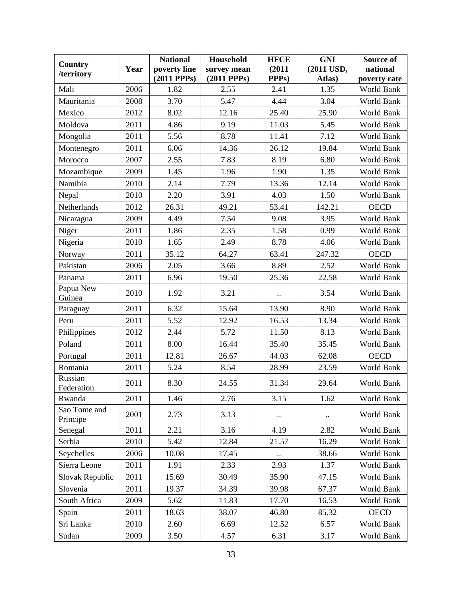| Country                  |      | <b>National</b> | Household        | <b>HFCE</b>          | <b>GNI</b> | Source of    |
|--------------------------|------|-----------------|------------------|----------------------|------------|--------------|
| /territory               | Year | poverty line    | survey mean      | (2011)               | (2011 USD, | national     |
|                          |      | $(2011$ PPPs)   | $(2011$ PPPs $)$ | PPP <sub>s</sub> )   | Atlas)     | poverty rate |
| Mali                     | 2006 | 1.82            | 2.55             | 2.41                 | 1.35       | World Bank   |
| Mauritania               | 2008 | 3.70            | 5.47             | 4.44                 | 3.04       | World Bank   |
| Mexico                   | 2012 | 8.02            | 12.16            | 25.40                | 25.90      | World Bank   |
| Moldova                  | 2011 | 4.86            | 9.19             | 11.03                | 5.45       | World Bank   |
| Mongolia                 | 2011 | 5.56            | 8.78             | 11.41                | 7.12       | World Bank   |
| Montenegro               | 2011 | 6.06            | 14.36            | 26.12                | 19.84      | World Bank   |
| Morocco                  | 2007 | 2.55            | 7.83             | 8.19                 | 6.80       | World Bank   |
| Mozambique               | 2009 | 1.45            | 1.96             | 1.90                 | 1.35       | World Bank   |
| Namibia                  | 2010 | 2.14            | 7.79             | 13.36                | 12.14      | World Bank   |
| Nepal                    | 2010 | 2.20            | 3.91             | 4.03                 | 1.50       | World Bank   |
| Netherlands              | 2012 | 26.31           | 49.21            | 53.41                | 142.21     | <b>OECD</b>  |
| Nicaragua                | 2009 | 4.49            | 7.54             | 9.08                 | 3.95       | World Bank   |
| Niger                    | 2011 | 1.86            | 2.35             | 1.58                 | 0.99       | World Bank   |
| Nigeria                  | 2010 | 1.65            | 2.49             | 8.78                 | 4.06       | World Bank   |
| Norway                   | 2011 | 35.12           | 64.27            | 63.41                | 247.32     | <b>OECD</b>  |
| Pakistan                 | 2006 | 2.05            | 3.66             | 8.89                 | 2.52       | World Bank   |
| Panama                   | 2011 | 6.96            | 19.50            | 25.36                | 22.58      | World Bank   |
| Papua New<br>Guinea      | 2010 | 1.92            | 3.21             | $\ddot{\phantom{a}}$ | 3.54       | World Bank   |
| Paraguay                 | 2011 | 6.32            | 15.64            | 13.90                | 8.90       | World Bank   |
| Peru                     | 2011 | 5.52            | 12.92            | 16.53                | 13.34      | World Bank   |
| Philippines              | 2012 | 2.44            | 5.72             | 11.50                | 8.13       | World Bank   |
| Poland                   | 2011 | 8.00            | 16.44            | 35.40                | 35.45      | World Bank   |
| Portugal                 | 2011 | 12.81           | 26.67            | 44.03                | 62.08      | <b>OECD</b>  |
| Romania                  | 2011 | 5.24            | 8.54             | 28.99                | 23.59      | World Bank   |
| Russian<br>Federation    | 2011 | 8.30            | 24.55            | 31.34                | 29.64      | World Bank   |
| Rwanda                   | 2011 | 1.46            | 2.76             | 3.15                 | 1.62       | World Bank   |
| Sao Tome and<br>Principe | 2001 | 2.73            | 3.13             |                      |            | World Bank   |
| Senegal                  | 2011 | 2.21            | 3.16             | 4.19                 | 2.82       | World Bank   |
| Serbia                   | 2010 | 5.42            | 12.84            | 21.57                | 16.29      | World Bank   |
| Seychelles               | 2006 | 10.08           | 17.45            |                      | 38.66      | World Bank   |
| Sierra Leone             | 2011 | 1.91            | 2.33             | 2.93                 | 1.37       | World Bank   |
| Slovak Republic          | 2011 | 15.69           | 30.49            | 35.90                | 47.15      | World Bank   |
| Slovenia                 | 2011 | 19.37           | 34.39            | 39.98                | 67.37      | World Bank   |
| South Africa             | 2009 | 5.62            | 11.83            | 17.70                | 16.53      | World Bank   |
| Spain                    | 2011 | 18.63           | 38.07            | 46.80                | 85.32      | <b>OECD</b>  |
| Sri Lanka                | 2010 | 2.60            | 6.69             | 12.52                | 6.57       | World Bank   |
| Sudan                    | 2009 | 3.50            | 4.57             | 6.31                 | 3.17       | World Bank   |